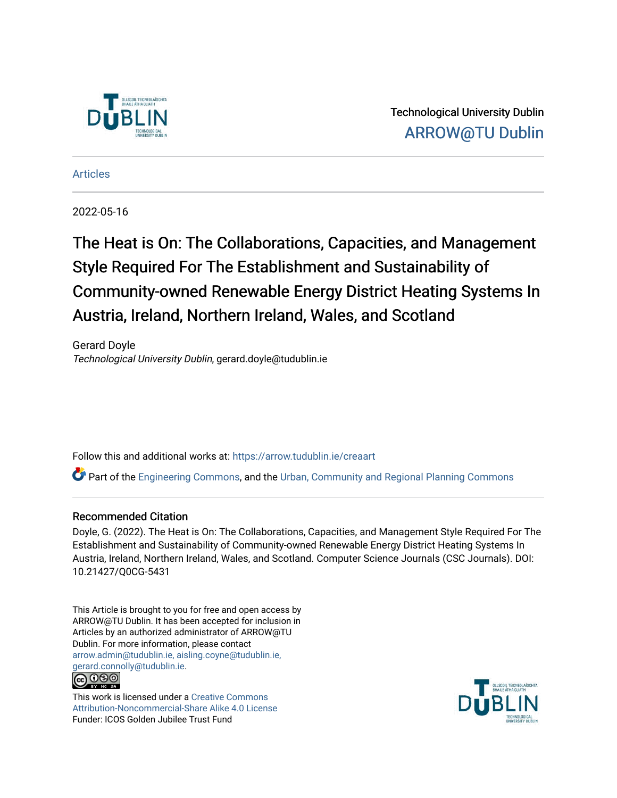

Technological University Dublin [ARROW@TU Dublin](https://arrow.tudublin.ie/) 

[Articles](https://arrow.tudublin.ie/creaart)

2022-05-16

The Heat is On: The Collaborations, Capacities, and Management Style Required For The Establishment and Sustainability of Community-owned Renewable Energy District Heating Systems In Austria, Ireland, Northern Ireland, Wales, and Scotland

Gerard Doyle Technological University Dublin, gerard.doyle@tudublin.ie

Follow this and additional works at: [https://arrow.tudublin.ie/creaart](https://arrow.tudublin.ie/creaart?utm_source=arrow.tudublin.ie%2Fcreaart%2F71&utm_medium=PDF&utm_campaign=PDFCoverPages) 

Part of the [Engineering Commons](https://network.bepress.com/hgg/discipline/217?utm_source=arrow.tudublin.ie%2Fcreaart%2F71&utm_medium=PDF&utm_campaign=PDFCoverPages), and the [Urban, Community and Regional Planning Commons](https://network.bepress.com/hgg/discipline/776?utm_source=arrow.tudublin.ie%2Fcreaart%2F71&utm_medium=PDF&utm_campaign=PDFCoverPages)

### Recommended Citation

Doyle, G. (2022). The Heat is On: The Collaborations, Capacities, and Management Style Required For The Establishment and Sustainability of Community-owned Renewable Energy District Heating Systems In Austria, Ireland, Northern Ireland, Wales, and Scotland. Computer Science Journals (CSC Journals). DOI: 10.21427/Q0CG-5431

This Article is brought to you for free and open access by ARROW@TU Dublin. It has been accepted for inclusion in Articles by an authorized administrator of ARROW@TU Dublin. For more information, please contact [arrow.admin@tudublin.ie, aisling.coyne@tudublin.ie,](mailto:arrow.admin@tudublin.ie,%20aisling.coyne@tudublin.ie,%20gerard.connolly@tudublin.ie)  [gerard.connolly@tudublin.ie](mailto:arrow.admin@tudublin.ie,%20aisling.coyne@tudublin.ie,%20gerard.connolly@tudublin.ie).<br>@090

This work is licensed under a [Creative Commons](http://creativecommons.org/licenses/by-nc-sa/4.0/) [Attribution-Noncommercial-Share Alike 4.0 License](http://creativecommons.org/licenses/by-nc-sa/4.0/) Funder: ICOS Golden Jubilee Trust Fund

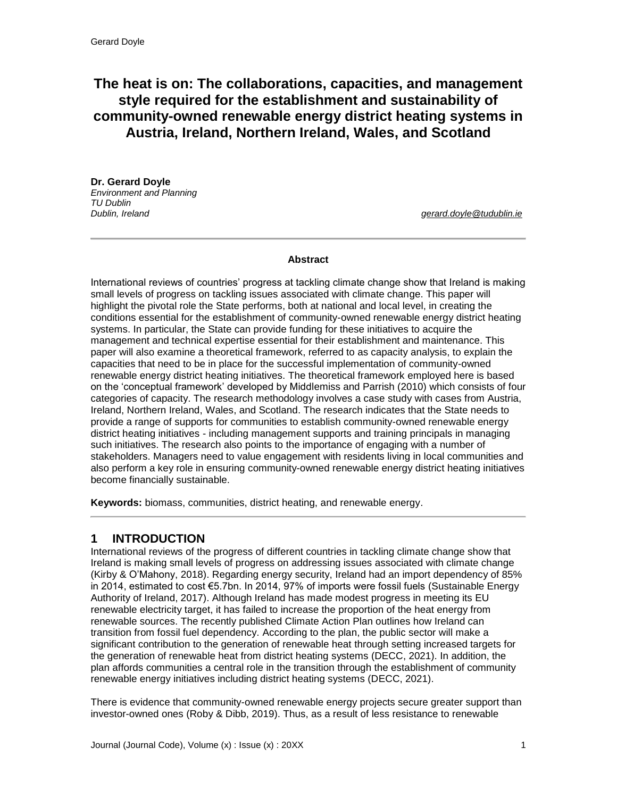# **The heat is on: The collaborations, capacities, and management style required for the establishment and sustainability of community-owned renewable energy district heating systems in Austria, Ireland, Northern Ireland, Wales, and Scotland**

**Dr. Gerard Doyle** *Environment and Planning TU Dublin Dublin, Ireland [gerard.doyle@tudublin.ie](mailto:erard.doyle@tudublin.ie)*

#### **Abstract**

International reviews of countries' progress at tackling climate change show that Ireland is making small levels of progress on tackling issues associated with climate change. This paper will highlight the pivotal role the State performs, both at national and local level, in creating the conditions essential for the establishment of community-owned renewable energy district heating systems. In particular, the State can provide funding for these initiatives to acquire the management and technical expertise essential for their establishment and maintenance. This paper will also examine a theoretical framework, referred to as capacity analysis, to explain the capacities that need to be in place for the successful implementation of community-owned renewable energy district heating initiatives. The theoretical framework employed here is based on the 'conceptual framework' developed by Middlemiss and Parrish (2010) which consists of four categories of capacity. The research methodology involves a case study with cases from Austria, Ireland, Northern Ireland, Wales, and Scotland. The research indicates that the State needs to provide a range of supports for communities to establish community-owned renewable energy district heating initiatives - including management supports and training principals in managing such initiatives. The research also points to the importance of engaging with a number of stakeholders. Managers need to value engagement with residents living in local communities and also perform a key role in ensuring community-owned renewable energy district heating initiatives become financially sustainable.

**Keywords:** biomass, communities, district heating, and renewable energy.

# **1 INTRODUCTION**

International reviews of the progress of different countries in tackling climate change show that Ireland is making small levels of progress on addressing issues associated with climate change (Kirby & O'Mahony, 2018). Regarding energy security, Ireland had an import dependency of 85% in 2014, estimated to cost €5.7bn. In 2014, 97% of imports were fossil fuels (Sustainable Energy Authority of Ireland, 2017). Although Ireland has made modest progress in meeting its EU renewable electricity target, it has failed to increase the proportion of the heat energy from renewable sources. The recently published Climate Action Plan outlines how Ireland can transition from fossil fuel dependency. According to the plan, the public sector will make a significant contribution to the generation of renewable heat through setting increased targets for the generation of renewable heat from district heating systems (DECC, 2021). In addition, the plan affords communities a central role in the transition through the establishment of community renewable energy initiatives including district heating systems (DECC, 2021).

There is evidence that community-owned renewable energy projects secure greater support than investor-owned ones (Roby & Dibb, 2019). Thus, as a result of less resistance to renewable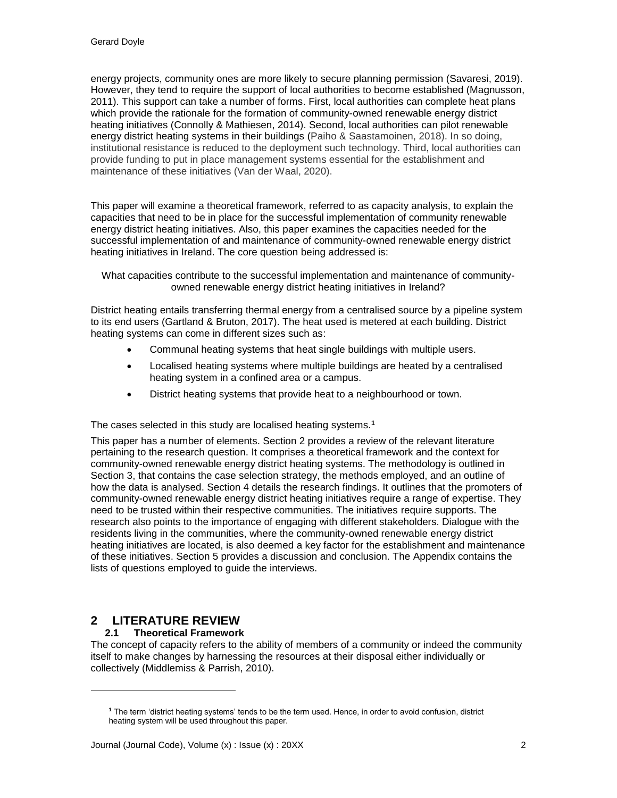energy projects, community ones are more likely to secure planning permission (Savaresi, 2019). However, they tend to require the support of local authorities to become established (Magnusson, 2011). This support can take a number of forms. First, local authorities can complete heat plans which provide the rationale for the formation of community-owned renewable energy district heating initiatives (Connolly & Mathiesen, 2014). Second, local authorities can pilot renewable energy district heating systems in their buildings (Paiho & Saastamoinen, 2018). In so doing, institutional resistance is reduced to the deployment such technology. Third, local authorities can provide funding to put in place management systems essential for the establishment and maintenance of these initiatives (Van der Waal, 2020).

This paper will examine a theoretical framework, referred to as capacity analysis, to explain the capacities that need to be in place for the successful implementation of community renewable energy district heating initiatives. Also, this paper examines the capacities needed for the successful implementation of and maintenance of community-owned renewable energy district heating initiatives in Ireland. The core question being addressed is:

What capacities contribute to the successful implementation and maintenance of communityowned renewable energy district heating initiatives in Ireland?

District heating entails transferring thermal energy from a centralised source by a pipeline system to its end users (Gartland & Bruton, 2017). The heat used is metered at each building. District heating systems can come in different sizes such as:

- Communal heating systems that heat single buildings with multiple users.
- Localised heating systems where multiple buildings are heated by a centralised heating system in a confined area or a campus.
- District heating systems that provide heat to a neighbourhood or town.

The cases selected in this study are localised heating systems.**<sup>1</sup>**

This paper has a number of elements. Section 2 provides a review of the relevant literature pertaining to the research question. It comprises a theoretical framework and the context for community-owned renewable energy district heating systems. The methodology is outlined in Section 3, that contains the case selection strategy, the methods employed, and an outline of how the data is analysed. Section 4 details the research findings. It outlines that the promoters of community-owned renewable energy district heating initiatives require a range of expertise. They need to be trusted within their respective communities. The initiatives require supports. The research also points to the importance of engaging with different stakeholders. Dialogue with the residents living in the communities, where the community-owned renewable energy district heating initiatives are located, is also deemed a key factor for the establishment and maintenance of these initiatives. Section 5 provides a discussion and conclusion. The Appendix contains the lists of questions employed to guide the interviews.

# **2 LITERATURE REVIEW**

l

### **2.1 Theoretical Framework**

The concept of capacity refers to the ability of members of a community or indeed the community itself to make changes by harnessing the resources at their disposal either individually or collectively (Middlemiss & Parrish, 2010).

**<sup>1</sup>** The term 'district heating systems' tends to be the term used. Hence, in order to avoid confusion, district heating system will be used throughout this paper.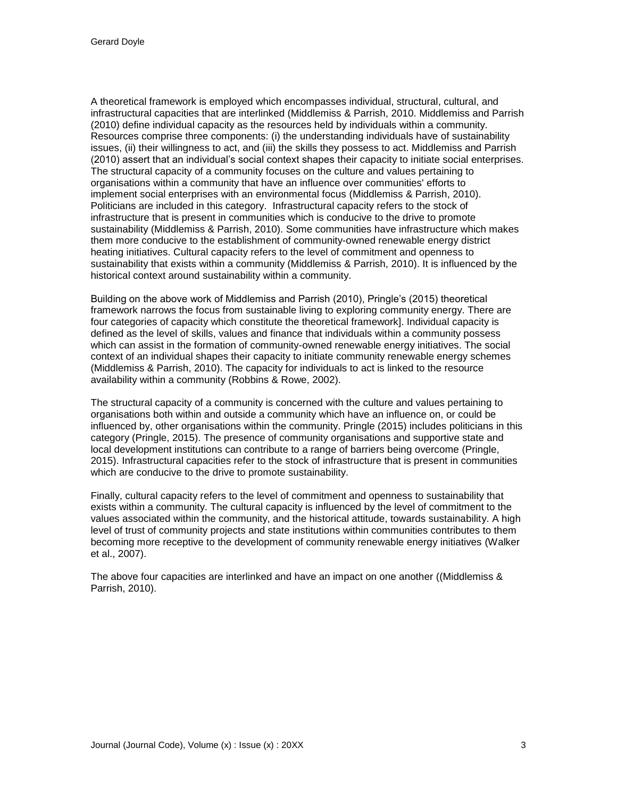A theoretical framework is employed which encompasses individual, structural, cultural, and infrastructural capacities that are interlinked (Middlemiss & Parrish, 2010. Middlemiss and Parrish (2010) define individual capacity as the resources held by individuals within a community. Resources comprise three components: (i) the understanding individuals have of sustainability issues, (ii) their willingness to act, and (iii) the skills they possess to act. Middlemiss and Parrish (2010) assert that an individual's social context shapes their capacity to initiate social enterprises. The structural capacity of a community focuses on the culture and values pertaining to organisations within a community that have an influence over communities' efforts to implement social enterprises with an environmental focus (Middlemiss & Parrish, 2010). Politicians are included in this category. Infrastructural capacity refers to the stock of infrastructure that is present in communities which is conducive to the drive to promote sustainability (Middlemiss & Parrish, 2010). Some communities have infrastructure which makes them more conducive to the establishment of community-owned renewable energy district heating initiatives. Cultural capacity refers to the level of commitment and openness to sustainability that exists within a community (Middlemiss & Parrish, 2010). It is influenced by the historical context around sustainability within a community.

Building on the above work of Middlemiss and Parrish (2010), Pringle's (2015) theoretical framework narrows the focus from sustainable living to exploring community energy. There are four categories of capacity which constitute the theoretical framework]. Individual capacity is defined as the level of skills, values and finance that individuals within a community possess which can assist in the formation of community-owned renewable energy initiatives. The social context of an individual shapes their capacity to initiate community renewable energy schemes (Middlemiss & Parrish, 2010). The capacity for individuals to act is linked to the resource availability within a community (Robbins & Rowe, 2002).

The structural capacity of a community is concerned with the culture and values pertaining to organisations both within and outside a community which have an influence on, or could be influenced by, other organisations within the community. Pringle (2015) includes politicians in this category (Pringle, 2015). The presence of community organisations and supportive state and local development institutions can contribute to a range of barriers being overcome (Pringle, 2015). Infrastructural capacities refer to the stock of infrastructure that is present in communities which are conducive to the drive to promote sustainability.

Finally, cultural capacity refers to the level of commitment and openness to sustainability that exists within a community. The cultural capacity is influenced by the level of commitment to the values associated within the community, and the historical attitude, towards sustainability. A high level of trust of community projects and state institutions within communities contributes to them becoming more receptive to the development of community renewable energy initiatives (Walker et al., 2007).

The above four capacities are interlinked and have an impact on one another ((Middlemiss & Parrish, 2010).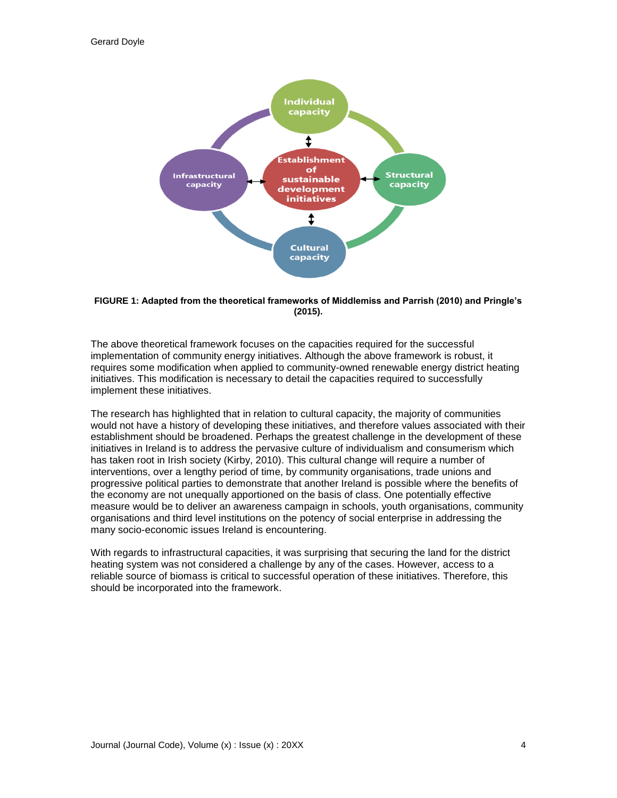

#### **FIGURE 1: Adapted from the theoretical frameworks of Middlemiss and Parrish (2010) and Pringle's (2015).**

The above theoretical framework focuses on the capacities required for the successful implementation of community energy initiatives. Although the above framework is robust, it requires some modification when applied to community-owned renewable energy district heating initiatives. This modification is necessary to detail the capacities required to successfully implement these initiatives.

The research has highlighted that in relation to cultural capacity, the majority of communities would not have a history of developing these initiatives, and therefore values associated with their establishment should be broadened. Perhaps the greatest challenge in the development of these initiatives in Ireland is to address the pervasive culture of individualism and consumerism which has taken root in Irish society (Kirby, 2010). This cultural change will require a number of interventions, over a lengthy period of time, by community organisations, trade unions and progressive political parties to demonstrate that another Ireland is possible where the benefits of the economy are not unequally apportioned on the basis of class. One potentially effective measure would be to deliver an awareness campaign in schools, youth organisations, community organisations and third level institutions on the potency of social enterprise in addressing the many socio-economic issues Ireland is encountering.

With regards to infrastructural capacities, it was surprising that securing the land for the district heating system was not considered a challenge by any of the cases. However, access to a reliable source of biomass is critical to successful operation of these initiatives. Therefore, this should be incorporated into the framework.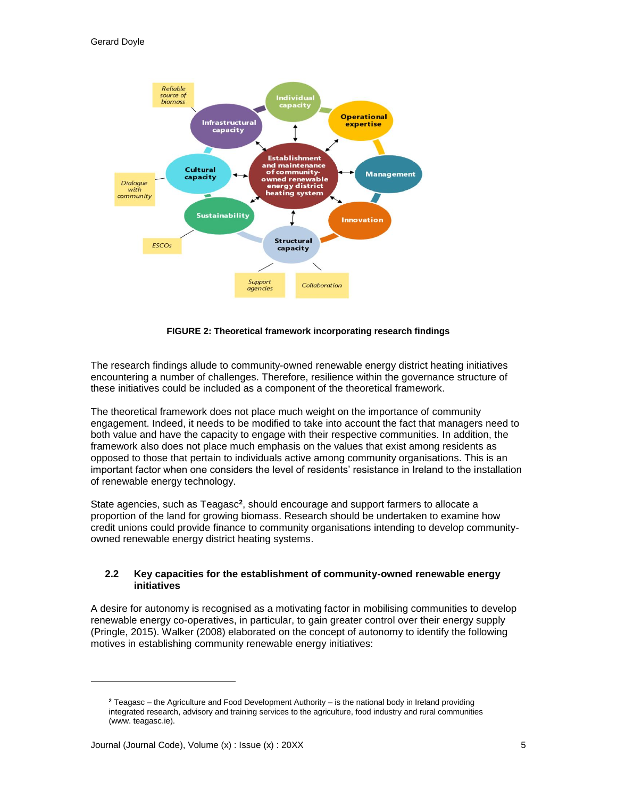

**FIGURE 2: Theoretical framework incorporating research findings**

The research findings allude to community-owned renewable energy district heating initiatives encountering a number of challenges. Therefore, resilience within the governance structure of these initiatives could be included as a component of the theoretical framework.

The theoretical framework does not place much weight on the importance of community engagement. Indeed, it needs to be modified to take into account the fact that managers need to both value and have the capacity to engage with their respective communities. In addition, the framework also does not place much emphasis on the values that exist among residents as opposed to those that pertain to individuals active among community organisations. This is an important factor when one considers the level of residents' resistance in Ireland to the installation of renewable energy technology.

State agencies, such as Teagasc<sup>2</sup>, should encourage and support farmers to allocate a proportion of the land for growing biomass. Research should be undertaken to examine how credit unions could provide finance to community organisations intending to develop communityowned renewable energy district heating systems.

#### **2.2 Key capacities for the establishment of community-owned renewable energy initiatives**

A desire for autonomy is recognised as a motivating factor in mobilising communities to develop renewable energy co-operatives, in particular, to gain greater control over their energy supply (Pringle, 2015). Walker (2008) elaborated on the concept of autonomy to identify the following motives in establishing community renewable energy initiatives:

l

**<sup>2</sup>** Teagasc – the Agriculture and Food Development Authority – is the national body in Ireland providing integrated research, advisory and training services to the agriculture, food industry and rural communities (www. teagasc.ie).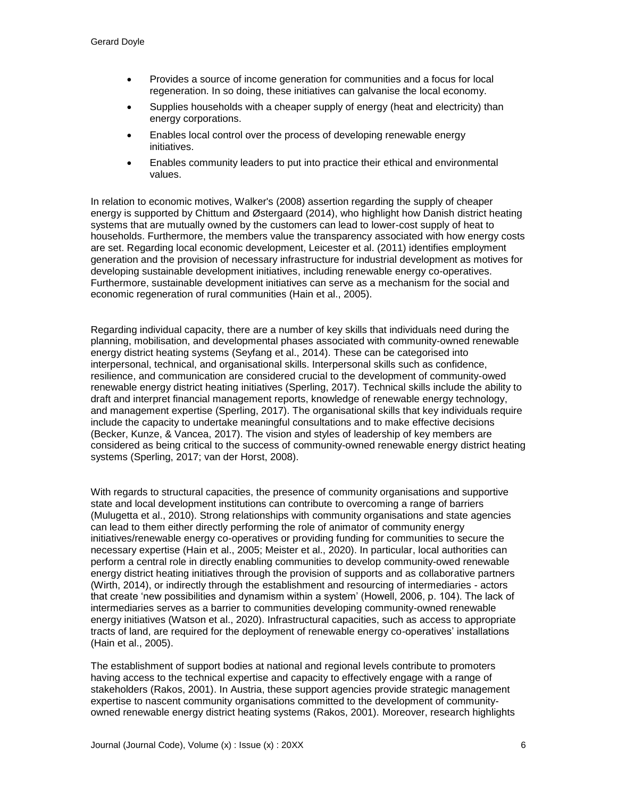- Provides a source of income generation for communities and a focus for local regeneration. In so doing, these initiatives can galvanise the local economy.
- Supplies households with a cheaper supply of energy (heat and electricity) than energy corporations.
- Enables local control over the process of developing renewable energy initiatives.
- Enables community leaders to put into practice their ethical and environmental values.

In relation to economic motives, Walker's (2008) assertion regarding the supply of cheaper energy is supported by Chittum and Østergaard (2014), who highlight how Danish district heating systems that are mutually owned by the customers can lead to lower-cost supply of heat to households. Furthermore, the members value the transparency associated with how energy costs are set. Regarding local economic development, Leicester et al. (2011) identifies employment generation and the provision of necessary infrastructure for industrial development as motives for developing sustainable development initiatives, including renewable energy co-operatives. Furthermore, sustainable development initiatives can serve as a mechanism for the social and economic regeneration of rural communities (Hain et al., 2005).

Regarding individual capacity, there are a number of key skills that individuals need during the planning, mobilisation, and developmental phases associated with community-owned renewable energy district heating systems (Seyfang et al., 2014). These can be categorised into interpersonal, technical, and organisational skills. Interpersonal skills such as confidence, resilience, and communication are considered crucial to the development of community-owed renewable energy district heating initiatives (Sperling, 2017). Technical skills include the ability to draft and interpret financial management reports, knowledge of renewable energy technology, and management expertise (Sperling, 2017). The organisational skills that key individuals require include the capacity to undertake meaningful consultations and to make effective decisions (Becker, Kunze, & Vancea, 2017). The vision and styles of leadership of key members are considered as being critical to the success of community-owned renewable energy district heating systems (Sperling, 2017; van der Horst, 2008).

With regards to structural capacities, the presence of community organisations and supportive state and local development institutions can contribute to overcoming a range of barriers (Mulugetta et al., 2010). Strong relationships with community organisations and state agencies can lead to them either directly performing the role of animator of community energy initiatives/renewable energy co-operatives or providing funding for communities to secure the necessary expertise (Hain et al., 2005; Meister et al., 2020). In particular, local authorities can perform a central role in directly enabling communities to develop community-owed renewable energy district heating initiatives through the provision of supports and as collaborative partners (Wirth, 2014), or indirectly through the establishment and resourcing of intermediaries - actors that create 'new possibilities and dynamism within a system' (Howell, 2006, p. 104). The lack of intermediaries serves as a barrier to communities developing community-owned renewable energy initiatives (Watson et al., 2020). Infrastructural capacities, such as access to appropriate tracts of land, are required for the deployment of renewable energy co-operatives' installations (Hain et al., 2005).

The establishment of support bodies at national and regional levels contribute to promoters having access to the technical expertise and capacity to effectively engage with a range of stakeholders (Rakos, 2001). In Austria, these support agencies provide strategic management expertise to nascent community organisations committed to the development of communityowned renewable energy district heating systems (Rakos, 2001). Moreover, research highlights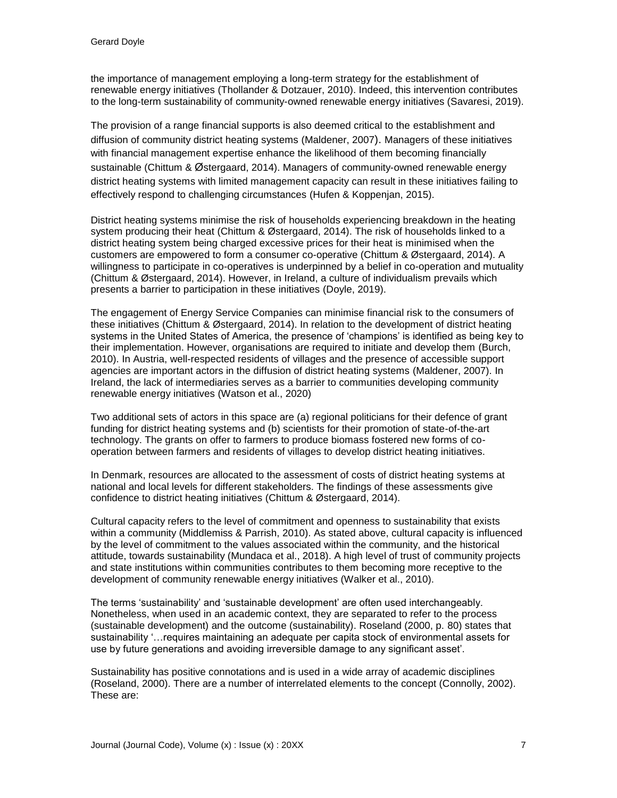the importance of management employing a long-term strategy for the establishment of renewable energy initiatives (Thollander & Dotzauer, 2010). Indeed, this intervention contributes to the long-term sustainability of community-owned renewable energy initiatives (Savaresi, 2019).

The provision of a range financial supports is also deemed critical to the establishment and diffusion of community district heating systems (Maldener, 2007). Managers of these initiatives with financial management expertise enhance the likelihood of them becoming financially sustainable (Chittum & Østergaard, 2014). Managers of community-owned renewable energy district heating systems with limited management capacity can result in these initiatives failing to effectively respond to challenging circumstances (Hufen & Koppenjan, 2015).

District heating systems minimise the risk of households experiencing breakdown in the heating system producing their heat (Chittum & Østergaard, 2014). The risk of households linked to a district heating system being charged excessive prices for their heat is minimised when the customers are empowered to form a consumer co-operative (Chittum & Østergaard, 2014). A willingness to participate in co-operatives is underpinned by a belief in co-operation and mutuality (Chittum & Østergaard, 2014). However, in Ireland, a culture of individualism prevails which presents a barrier to participation in these initiatives (Doyle, 2019).

The engagement of Energy Service Companies can minimise financial risk to the consumers of these initiatives (Chittum & Østergaard, 2014). In relation to the development of district heating systems in the United States of America, the presence of 'champions' is identified as being key to their implementation. However, organisations are required to initiate and develop them (Burch, 2010). In Austria, well-respected residents of villages and the presence of accessible support agencies are important actors in the diffusion of district heating systems (Maldener, 2007). In Ireland, the lack of intermediaries serves as a barrier to communities developing community renewable energy initiatives (Watson et al., 2020)

Two additional sets of actors in this space are (a) regional politicians for their defence of grant funding for district heating systems and (b) scientists for their promotion of state-of-the-art technology. The grants on offer to farmers to produce biomass fostered new forms of cooperation between farmers and residents of villages to develop district heating initiatives.

In Denmark, resources are allocated to the assessment of costs of district heating systems at national and local levels for different stakeholders. The findings of these assessments give confidence to district heating initiatives (Chittum & Østergaard, 2014).

Cultural capacity refers to the level of commitment and openness to sustainability that exists within a community (Middlemiss & Parrish, 2010). As stated above, cultural capacity is influenced by the level of commitment to the values associated within the community, and the historical attitude, towards sustainability (Mundaca et al., 2018). A high level of trust of community projects and state institutions within communities contributes to them becoming more receptive to the development of community renewable energy initiatives (Walker et al., 2010).

The terms 'sustainability' and 'sustainable development' are often used interchangeably. Nonetheless, when used in an academic context, they are separated to refer to the process (sustainable development) and the outcome (sustainability). Roseland (2000, p. 80) states that sustainability '…requires maintaining an adequate per capita stock of environmental assets for use by future generations and avoiding irreversible damage to any significant asset'.

Sustainability has positive connotations and is used in a wide array of academic disciplines (Roseland, 2000). There are a number of interrelated elements to the concept (Connolly, 2002). These are: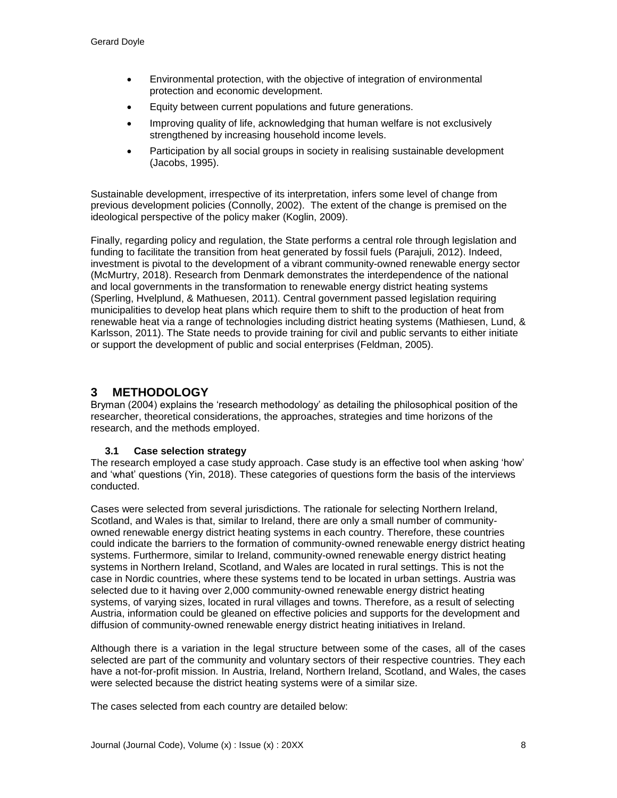- Environmental protection, with the objective of integration of environmental protection and economic development.
- Equity between current populations and future generations.
- Improving quality of life, acknowledging that human welfare is not exclusively strengthened by increasing household income levels.
- Participation by all social groups in society in realising sustainable development (Jacobs, 1995).

Sustainable development, irrespective of its interpretation, infers some level of change from previous development policies (Connolly, 2002). The extent of the change is premised on the ideological perspective of the policy maker (Koglin, 2009).

Finally, regarding policy and regulation, the State performs a central role through legislation and funding to facilitate the transition from heat generated by fossil fuels (Parajuli, 2012). Indeed, investment is pivotal to the development of a vibrant community-owned renewable energy sector (McMurtry, 2018). Research from Denmark demonstrates the interdependence of the national and local governments in the transformation to renewable energy district heating systems (Sperling, Hvelplund, & Mathuesen, 2011). Central government passed legislation requiring municipalities to develop heat plans which require them to shift to the production of heat from renewable heat via a range of technologies including district heating systems (Mathiesen, Lund, & Karlsson, 2011). The State needs to provide training for civil and public servants to either initiate or support the development of public and social enterprises (Feldman, 2005).

# **3 METHODOLOGY**

Bryman (2004) explains the 'research methodology' as detailing the philosophical position of the researcher, theoretical considerations, the approaches, strategies and time horizons of the research, and the methods employed.

### **3.1 Case selection strategy**

The research employed a case study approach. Case study is an effective tool when asking 'how' and 'what' questions (Yin, 2018). These categories of questions form the basis of the interviews conducted.

Cases were selected from several jurisdictions. The rationale for selecting Northern Ireland, Scotland, and Wales is that, similar to Ireland, there are only a small number of communityowned renewable energy district heating systems in each country. Therefore, these countries could indicate the barriers to the formation of community-owned renewable energy district heating systems. Furthermore, similar to Ireland, community-owned renewable energy district heating systems in Northern Ireland, Scotland, and Wales are located in rural settings. This is not the case in Nordic countries, where these systems tend to be located in urban settings. Austria was selected due to it having over 2,000 community-owned renewable energy district heating systems, of varying sizes, located in rural villages and towns. Therefore, as a result of selecting Austria, information could be gleaned on effective policies and supports for the development and diffusion of community-owned renewable energy district heating initiatives in Ireland.

Although there is a variation in the legal structure between some of the cases, all of the cases selected are part of the community and voluntary sectors of their respective countries. They each have a not-for-profit mission. In Austria, Ireland, Northern Ireland, Scotland, and Wales, the cases were selected because the district heating systems were of a similar size.

The cases selected from each country are detailed below: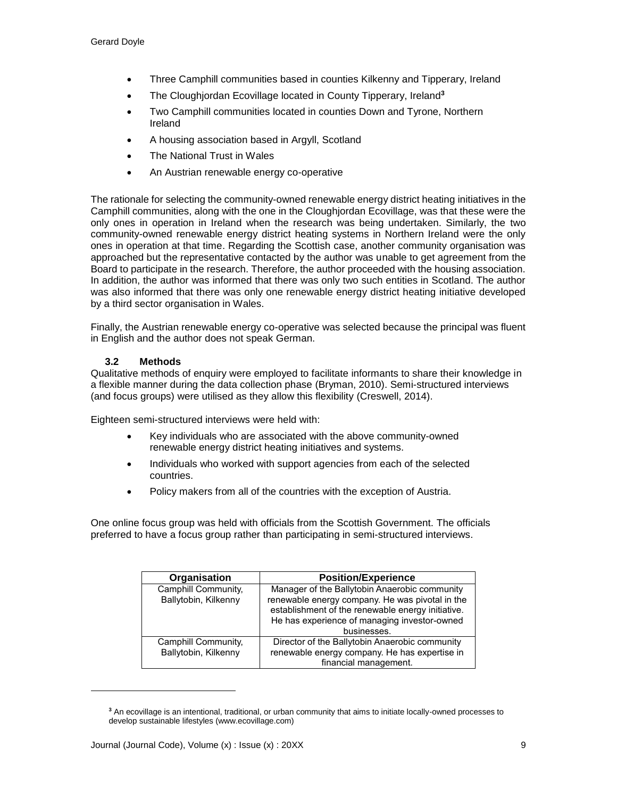- Three Camphill communities based in counties Kilkenny and Tipperary, Ireland
- The Cloughjordan Ecovillage located in County Tipperary, Ireland**<sup>3</sup>**
- Two Camphill communities located in counties Down and Tyrone, Northern Ireland
- A housing association based in Argyll, Scotland
- The National Trust in Wales
- An Austrian renewable energy co-operative

The rationale for selecting the community-owned renewable energy district heating initiatives in the Camphill communities, along with the one in the Cloughjordan Ecovillage, was that these were the only ones in operation in Ireland when the research was being undertaken. Similarly, the two community-owned renewable energy district heating systems in Northern Ireland were the only ones in operation at that time. Regarding the Scottish case, another community organisation was approached but the representative contacted by the author was unable to get agreement from the Board to participate in the research. Therefore, the author proceeded with the housing association. In addition, the author was informed that there was only two such entities in Scotland. The author was also informed that there was only one renewable energy district heating initiative developed by a third sector organisation in Wales.

Finally, the Austrian renewable energy co-operative was selected because the principal was fluent in English and the author does not speak German.

#### **3.2 Methods**

l

Qualitative methods of enquiry were employed to facilitate informants to share their knowledge in a flexible manner during the data collection phase (Bryman, 2010). Semi-structured interviews (and focus groups) were utilised as they allow this flexibility (Creswell, 2014).

Eighteen semi-structured interviews were held with:

- Key individuals who are associated with the above community-owned renewable energy district heating initiatives and systems.
- Individuals who worked with support agencies from each of the selected countries.
- Policy makers from all of the countries with the exception of Austria.

One online focus group was held with officials from the Scottish Government. The officials preferred to have a focus group rather than participating in semi-structured interviews.

| Organisation         | <b>Position/Experience</b>                        |
|----------------------|---------------------------------------------------|
| Camphill Community,  | Manager of the Ballytobin Anaerobic community     |
| Ballytobin, Kilkenny | renewable energy company. He was pivotal in the   |
|                      | establishment of the renewable energy initiative. |
|                      | He has experience of managing investor-owned      |
|                      | businesses.                                       |
| Camphill Community,  | Director of the Ballytobin Anaerobic community    |
| Ballytobin, Kilkenny | renewable energy company. He has expertise in     |
|                      | financial management.                             |

**<sup>3</sup>** An ecovillage is an intentional, traditional, or urban community that aims to initiate locally-owned processes to develop sustainable lifestyles (www.ecovillage.com)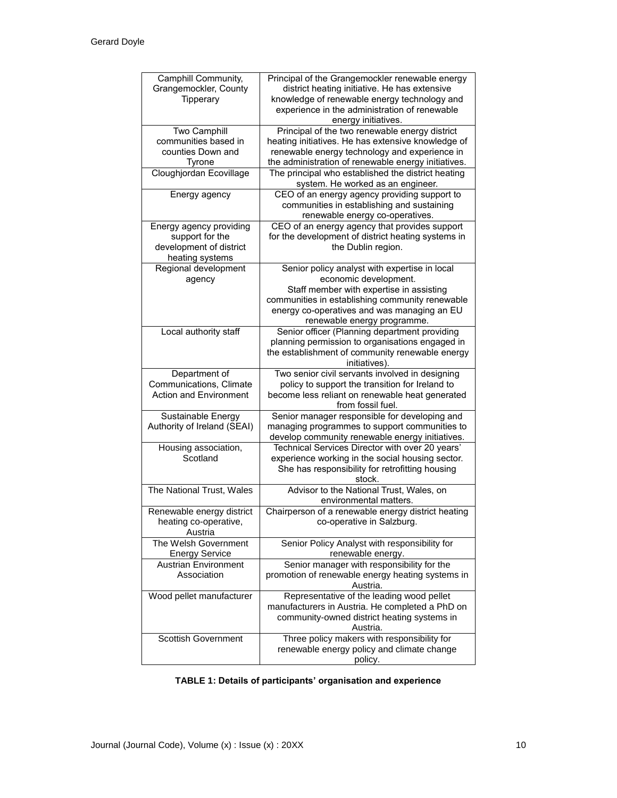| Camphill Community,<br>Grangemockler, County<br>Tipperary | Principal of the Grangemockler renewable energy<br>district heating initiative. He has extensive<br>knowledge of renewable energy technology and<br>experience in the administration of renewable<br>energy initiatives. |
|-----------------------------------------------------------|--------------------------------------------------------------------------------------------------------------------------------------------------------------------------------------------------------------------------|
| <b>Two Camphill</b>                                       | Principal of the two renewable energy district                                                                                                                                                                           |
| communities based in                                      | heating initiatives. He has extensive knowledge of                                                                                                                                                                       |
| counties Down and                                         | renewable energy technology and experience in                                                                                                                                                                            |
| Tyrone                                                    | the administration of renewable energy initiatives.                                                                                                                                                                      |
|                                                           |                                                                                                                                                                                                                          |
| Cloughjordan Ecovillage                                   | The principal who established the district heating<br>system. He worked as an engineer.                                                                                                                                  |
| Energy agency                                             | CEO of an energy agency providing support to                                                                                                                                                                             |
|                                                           | communities in establishing and sustaining                                                                                                                                                                               |
|                                                           | renewable energy co-operatives.                                                                                                                                                                                          |
| Energy agency providing                                   | CEO of an energy agency that provides support                                                                                                                                                                            |
| support for the                                           | for the development of district heating systems in                                                                                                                                                                       |
|                                                           |                                                                                                                                                                                                                          |
| development of district                                   | the Dublin region.                                                                                                                                                                                                       |
| heating systems                                           |                                                                                                                                                                                                                          |
| Regional development                                      | Senior policy analyst with expertise in local                                                                                                                                                                            |
| agency                                                    | economic development.                                                                                                                                                                                                    |
|                                                           | Staff member with expertise in assisting                                                                                                                                                                                 |
|                                                           | communities in establishing community renewable                                                                                                                                                                          |
|                                                           | energy co-operatives and was managing an EU                                                                                                                                                                              |
|                                                           | renewable energy programme.                                                                                                                                                                                              |
|                                                           |                                                                                                                                                                                                                          |
| Local authority staff                                     | Senior officer (Planning department providing                                                                                                                                                                            |
|                                                           | planning permission to organisations engaged in                                                                                                                                                                          |
|                                                           | the establishment of community renewable energy                                                                                                                                                                          |
|                                                           | initiatives).                                                                                                                                                                                                            |
| Department of                                             | Two senior civil servants involved in designing                                                                                                                                                                          |
| Communications, Climate                                   | policy to support the transition for Ireland to                                                                                                                                                                          |
| <b>Action and Environment</b>                             | become less reliant on renewable heat generated                                                                                                                                                                          |
|                                                           | from fossil fuel.                                                                                                                                                                                                        |
| Sustainable Energy                                        | Senior manager responsible for developing and                                                                                                                                                                            |
| Authority of Ireland (SEAI)                               | managing programmes to support communities to                                                                                                                                                                            |
|                                                           |                                                                                                                                                                                                                          |
|                                                           | develop community renewable energy initiatives.                                                                                                                                                                          |
| Housing association,                                      | Technical Services Director with over 20 years'                                                                                                                                                                          |
| Scotland                                                  | experience working in the social housing sector.                                                                                                                                                                         |
|                                                           |                                                                                                                                                                                                                          |
|                                                           | She has responsibility for retrofitting housing                                                                                                                                                                          |
|                                                           | stock.                                                                                                                                                                                                                   |
| The National Trust, Wales                                 | Advisor to the National Trust, Wales, on                                                                                                                                                                                 |
|                                                           | environmental matters.                                                                                                                                                                                                   |
|                                                           |                                                                                                                                                                                                                          |
| Renewable energy district                                 | Chairperson of a renewable energy district heating                                                                                                                                                                       |
| heating co-operative,                                     | co-operative in Salzburg.                                                                                                                                                                                                |
| Austria                                                   |                                                                                                                                                                                                                          |
| The Welsh Government                                      | Senior Policy Analyst with responsibility for                                                                                                                                                                            |
| <b>Energy Service</b>                                     | renewable energy.                                                                                                                                                                                                        |
| <b>Austrian Environment</b>                               | Senior manager with responsibility for the                                                                                                                                                                               |
| Association                                               | promotion of renewable energy heating systems in                                                                                                                                                                         |
|                                                           | Austria.                                                                                                                                                                                                                 |
| Wood pellet manufacturer                                  | Representative of the leading wood pellet                                                                                                                                                                                |
|                                                           |                                                                                                                                                                                                                          |
|                                                           | manufacturers in Austria. He completed a PhD on                                                                                                                                                                          |
|                                                           | community-owned district heating systems in                                                                                                                                                                              |
|                                                           | Austria.                                                                                                                                                                                                                 |
| <b>Scottish Government</b>                                | Three policy makers with responsibility for                                                                                                                                                                              |
|                                                           | renewable energy policy and climate change<br>policy.                                                                                                                                                                    |

# **TABLE 1: Details of participants' organisation and experience**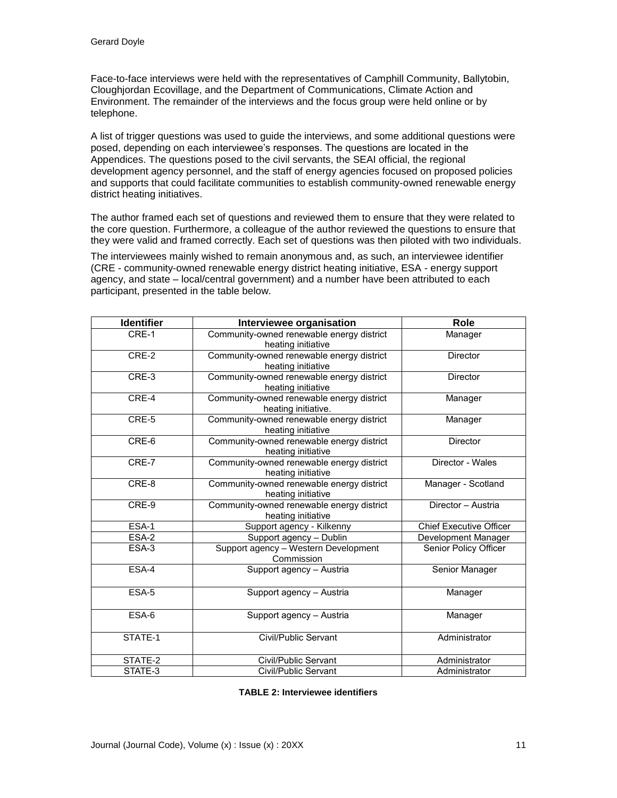Face-to-face interviews were held with the representatives of Camphill Community, Ballytobin, Cloughjordan Ecovillage, and the Department of Communications, Climate Action and Environment. The remainder of the interviews and the focus group were held online or by telephone.

A list of trigger questions was used to guide the interviews, and some additional questions were posed, depending on each interviewee's responses. The questions are located in the Appendices. The questions posed to the civil servants, the SEAI official, the regional development agency personnel, and the staff of energy agencies focused on proposed policies and supports that could facilitate communities to establish community-owned renewable energy district heating initiatives.

The author framed each set of questions and reviewed them to ensure that they were related to the core question. Furthermore, a colleague of the author reviewed the questions to ensure that they were valid and framed correctly. Each set of questions was then piloted with two individuals.

The interviewees mainly wished to remain anonymous and, as such, an interviewee identifier (CRE - community-owned renewable energy district heating initiative, ESA - energy support agency, and state – local/central government) and a number have been attributed to each participant, presented in the table below.

| <b>Identifier</b> | Interviewee organisation                                         | <b>Role</b>                    |
|-------------------|------------------------------------------------------------------|--------------------------------|
| CRE-1             | Community-owned renewable energy district<br>heating initiative  | Manager                        |
| CRE-2             | Community-owned renewable energy district<br>heating initiative  | <b>Director</b>                |
| CRE-3             | Community-owned renewable energy district<br>heating initiative  | <b>Director</b>                |
| CRE-4             | Community-owned renewable energy district<br>heating initiative. | Manager                        |
| CRE-5             | Community-owned renewable energy district<br>heating initiative  | Manager                        |
| CRE-6             | Community-owned renewable energy district<br>heating initiative  | <b>Director</b>                |
| CRE-7             | Community-owned renewable energy district<br>heating initiative  | Director - Wales               |
| CRE-8             | Community-owned renewable energy district<br>heating initiative  | Manager - Scotland             |
| CRE-9             | Community-owned renewable energy district<br>heating initiative  | Director - Austria             |
| ESA-1             | Support agency - Kilkenny                                        | <b>Chief Executive Officer</b> |
| $ESA-2$           | Support agency - Dublin                                          | Development Manager            |
| ESA-3             | Support agency - Western Development<br>Commission               | Senior Policy Officer          |
| ESA-4             | Support agency - Austria                                         | Senior Manager                 |
| ESA-5             | Support agency - Austria                                         | Manager                        |
| ESA-6             | Support agency - Austria                                         | Manager                        |
| STATE-1           | Civil/Public Servant                                             | Administrator                  |
| STATE-2           | Civil/Public Servant                                             | Administrator                  |
| STATE-3           | Civil/Public Servant                                             | Administrator                  |

**TABLE 2: Interviewee identifiers**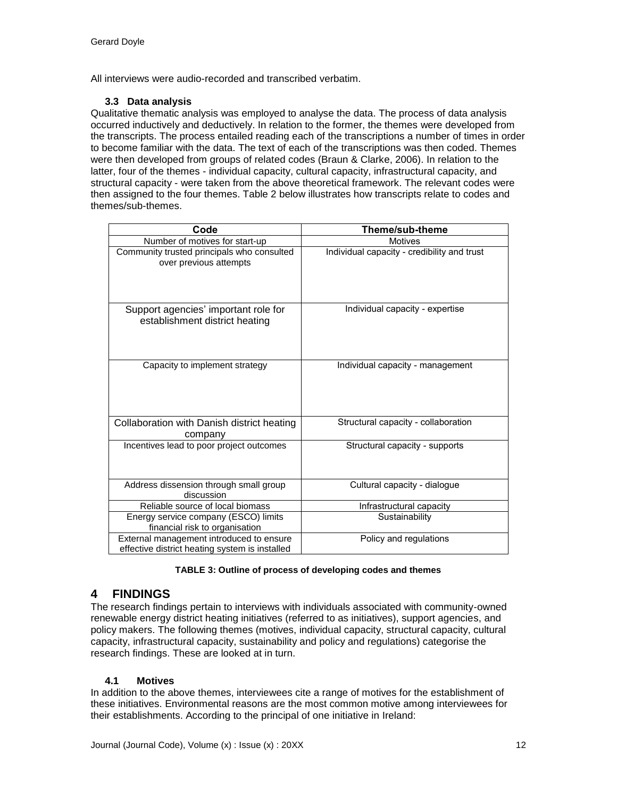All interviews were audio-recorded and transcribed verbatim.

### **3.3 Data analysis**

Qualitative thematic analysis was employed to analyse the data. The process of data analysis occurred inductively and deductively. In relation to the former, the themes were developed from the transcripts. The process entailed reading each of the transcriptions a number of times in order to become familiar with the data. The text of each of the transcriptions was then coded. Themes were then developed from groups of related codes (Braun & Clarke, 2006). In relation to the latter, four of the themes - individual capacity, cultural capacity, infrastructural capacity, and structural capacity - were taken from the above theoretical framework. The relevant codes were then assigned to the four themes. Table 2 below illustrates how transcripts relate to codes and themes/sub-themes.

| Code                                                                                       | Theme/sub-theme                             |  |
|--------------------------------------------------------------------------------------------|---------------------------------------------|--|
| Number of motives for start-up                                                             | <b>Motives</b>                              |  |
| Community trusted principals who consulted<br>over previous attempts                       | Individual capacity - credibility and trust |  |
| Support agencies' important role for<br>establishment district heating                     | Individual capacity - expertise             |  |
| Capacity to implement strategy                                                             | Individual capacity - management            |  |
| Collaboration with Danish district heating<br>company                                      | Structural capacity - collaboration         |  |
| Incentives lead to poor project outcomes                                                   | Structural capacity - supports              |  |
| Address dissension through small group<br>discussion                                       | Cultural capacity - dialogue                |  |
| Reliable source of local biomass                                                           | Infrastructural capacity                    |  |
| Energy service company (ESCO) limits<br>financial risk to organisation                     | Sustainability                              |  |
| External management introduced to ensure<br>effective district heating system is installed | Policy and regulations                      |  |

#### **TABLE 3: Outline of process of developing codes and themes**

# **4 FINDINGS**

The research findings pertain to interviews with individuals associated with community-owned renewable energy district heating initiatives (referred to as initiatives), support agencies, and policy makers. The following themes (motives, individual capacity, structural capacity, cultural capacity, infrastructural capacity, sustainability and policy and regulations) categorise the research findings. These are looked at in turn.

## **4.1 Motives**

In addition to the above themes, interviewees cite a range of motives for the establishment of these initiatives. Environmental reasons are the most common motive among interviewees for their establishments. According to the principal of one initiative in Ireland: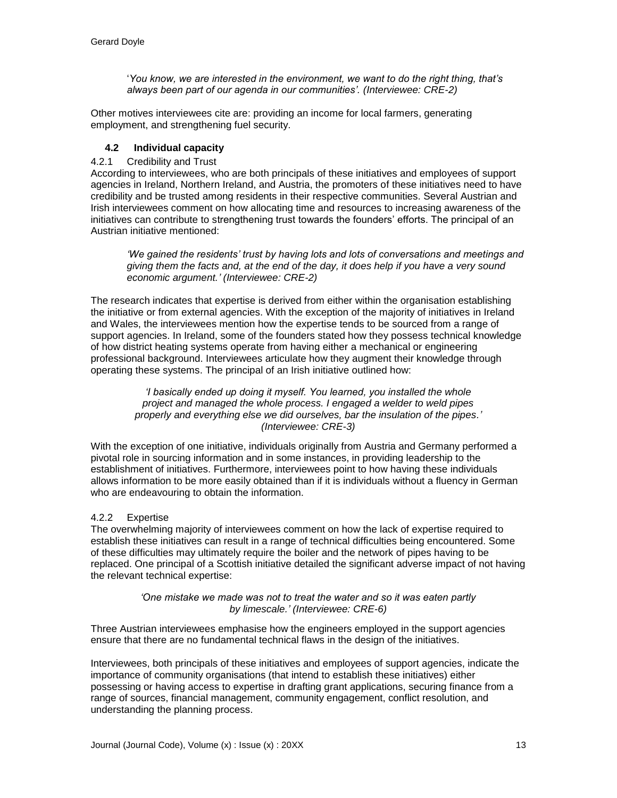'*You know, we are interested in the environment, we want to do the right thing, that's always been part of our agenda in our communities'. (Interviewee: CRE-2)*

Other motives interviewees cite are: providing an income for local farmers, generating employment, and strengthening fuel security.

### **4.2 Individual capacity**

### 4.2.1 Credibility and Trust

According to interviewees, who are both principals of these initiatives and employees of support agencies in Ireland, Northern Ireland, and Austria, the promoters of these initiatives need to have credibility and be trusted among residents in their respective communities. Several Austrian and Irish interviewees comment on how allocating time and resources to increasing awareness of the initiatives can contribute to strengthening trust towards the founders' efforts. The principal of an Austrian initiative mentioned:

*'We gained the residents' trust by having lots and lots of conversations and meetings and giving them the facts and, at the end of the day, it does help if you have a very sound economic argument.' (Interviewee: CRE-2)*

The research indicates that expertise is derived from either within the organisation establishing the initiative or from external agencies. With the exception of the majority of initiatives in Ireland and Wales, the interviewees mention how the expertise tends to be sourced from a range of support agencies. In Ireland, some of the founders stated how they possess technical knowledge of how district heating systems operate from having either a mechanical or engineering professional background. Interviewees articulate how they augment their knowledge through operating these systems. The principal of an Irish initiative outlined how:

> *'I basically ended up doing it myself. You learned, you installed the whole project and managed the whole process. I engaged a welder to weld pipes properly and everything else we did ourselves, bar the insulation of the pipes.' (Interviewee: CRE-3)*

With the exception of one initiative, individuals originally from Austria and Germany performed a pivotal role in sourcing information and in some instances, in providing leadership to the establishment of initiatives. Furthermore, interviewees point to how having these individuals allows information to be more easily obtained than if it is individuals without a fluency in German who are endeavouring to obtain the information.

### 4.2.2 Expertise

The overwhelming majority of interviewees comment on how the lack of expertise required to establish these initiatives can result in a range of technical difficulties being encountered. Some of these difficulties may ultimately require the boiler and the network of pipes having to be replaced. One principal of a Scottish initiative detailed the significant adverse impact of not having the relevant technical expertise:

#### *'One mistake we made was not to treat the water and so it was eaten partly by limescale.' (Interviewee: CRE-6)*

Three Austrian interviewees emphasise how the engineers employed in the support agencies ensure that there are no fundamental technical flaws in the design of the initiatives.

Interviewees, both principals of these initiatives and employees of support agencies, indicate the importance of community organisations (that intend to establish these initiatives) either possessing or having access to expertise in drafting grant applications, securing finance from a range of sources, financial management, community engagement, conflict resolution, and understanding the planning process.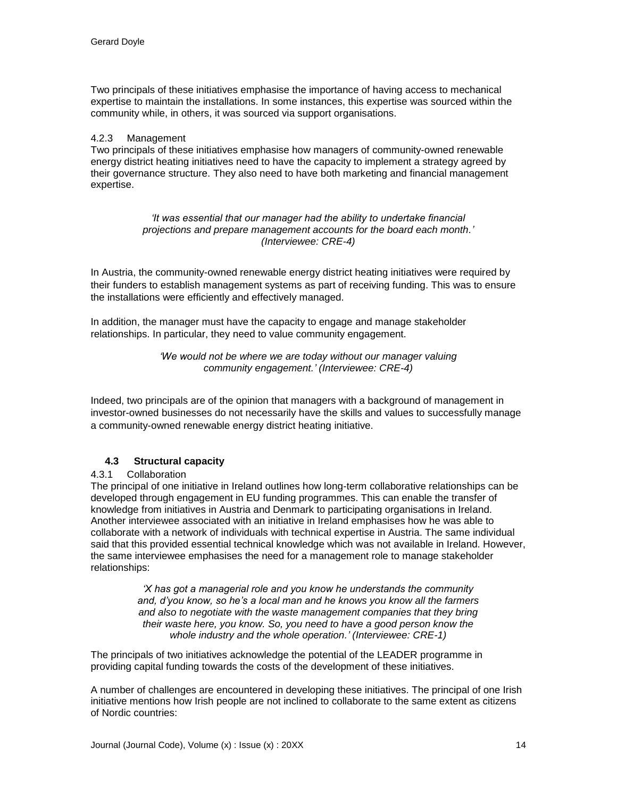Two principals of these initiatives emphasise the importance of having access to mechanical expertise to maintain the installations. In some instances, this expertise was sourced within the community while, in others, it was sourced via support organisations.

#### 4.2.3 Management

Two principals of these initiatives emphasise how managers of community-owned renewable energy district heating initiatives need to have the capacity to implement a strategy agreed by their governance structure. They also need to have both marketing and financial management expertise.

> *'It was essential that our manager had the ability to undertake financial projections and prepare management accounts for the board each month.' (Interviewee: CRE-4)*

In Austria, the community-owned renewable energy district heating initiatives were required by their funders to establish management systems as part of receiving funding. This was to ensure the installations were efficiently and effectively managed.

In addition, the manager must have the capacity to engage and manage stakeholder relationships. In particular, they need to value community engagement.

> *'We would not be where we are today without our manager valuing community engagement.' (Interviewee: CRE-4)*

Indeed, two principals are of the opinion that managers with a background of management in investor-owned businesses do not necessarily have the skills and values to successfully manage a community-owned renewable energy district heating initiative.

### **4.3 Structural capacity**

### 4.3.1 Collaboration

The principal of one initiative in Ireland outlines how long-term collaborative relationships can be developed through engagement in EU funding programmes. This can enable the transfer of knowledge from initiatives in Austria and Denmark to participating organisations in Ireland. Another interviewee associated with an initiative in Ireland emphasises how he was able to collaborate with a network of individuals with technical expertise in Austria. The same individual said that this provided essential technical knowledge which was not available in Ireland. However, the same interviewee emphasises the need for a management role to manage stakeholder relationships:

> *'X has got a managerial role and you know he understands the community and, d'you know, so he's a local man and he knows you know all the farmers and also to negotiate with the waste management companies that they bring their waste here, you know. So, you need to have a good person know the whole industry and the whole operation.' (Interviewee: CRE-1)*

The principals of two initiatives acknowledge the potential of the LEADER programme in providing capital funding towards the costs of the development of these initiatives.

A number of challenges are encountered in developing these initiatives. The principal of one Irish initiative mentions how Irish people are not inclined to collaborate to the same extent as citizens of Nordic countries: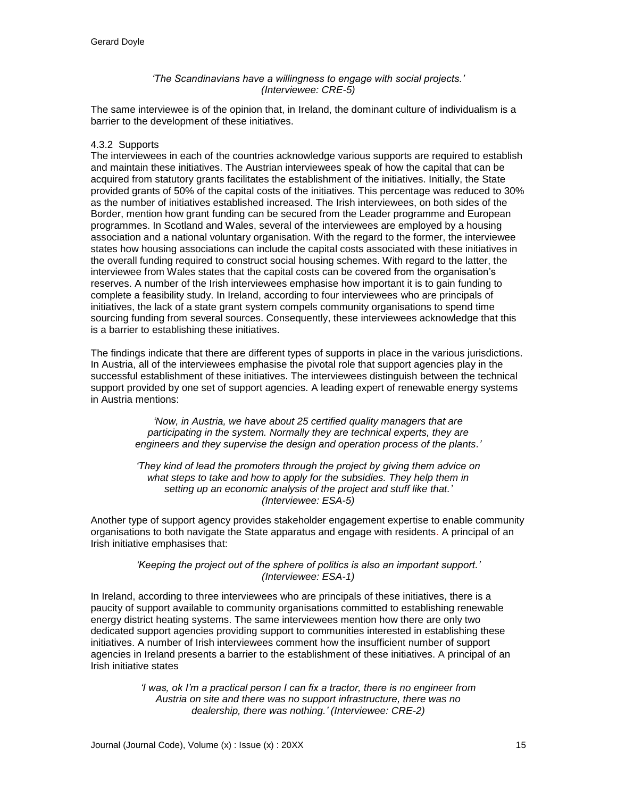#### *'The Scandinavians have a willingness to engage with social projects.' (Interviewee: CRE-5)*

The same interviewee is of the opinion that, in Ireland, the dominant culture of individualism is a barrier to the development of these initiatives.

#### 4.3.2 Supports

The interviewees in each of the countries acknowledge various supports are required to establish and maintain these initiatives. The Austrian interviewees speak of how the capital that can be acquired from statutory grants facilitates the establishment of the initiatives. Initially, the State provided grants of 50% of the capital costs of the initiatives. This percentage was reduced to 30% as the number of initiatives established increased. The Irish interviewees, on both sides of the Border, mention how grant funding can be secured from the Leader programme and European programmes. In Scotland and Wales, several of the interviewees are employed by a housing association and a national voluntary organisation. With the regard to the former, the interviewee states how housing associations can include the capital costs associated with these initiatives in the overall funding required to construct social housing schemes. With regard to the latter, the interviewee from Wales states that the capital costs can be covered from the organisation's reserves. A number of the Irish interviewees emphasise how important it is to gain funding to complete a feasibility study. In Ireland, according to four interviewees who are principals of initiatives, the lack of a state grant system compels community organisations to spend time sourcing funding from several sources. Consequently, these interviewees acknowledge that this is a barrier to establishing these initiatives.

The findings indicate that there are different types of supports in place in the various jurisdictions. In Austria, all of the interviewees emphasise the pivotal role that support agencies play in the successful establishment of these initiatives. The interviewees distinguish between the technical support provided by one set of support agencies. A leading expert of renewable energy systems in Austria mentions:

> *'Now, in Austria, we have about 25 certified quality managers that are participating in the system. Normally they are technical experts, they are engineers and they supervise the design and operation process of the plants.'*

> *'They kind of lead the promoters through the project by giving them advice on*  what steps to take and how to apply for the subsidies. They help them in *setting up an economic analysis of the project and stuff like that.' (Interviewee: ESA-5)*

Another type of support agency provides stakeholder engagement expertise to enable community organisations to both navigate the State apparatus and engage with residents. A principal of an Irish initiative emphasises that:

#### *'Keeping the project out of the sphere of politics is also an important support.' (Interviewee: ESA-1)*

In Ireland, according to three interviewees who are principals of these initiatives, there is a paucity of support available to community organisations committed to establishing renewable energy district heating systems. The same interviewees mention how there are only two dedicated support agencies providing support to communities interested in establishing these initiatives. A number of Irish interviewees comment how the insufficient number of support agencies in Ireland presents a barrier to the establishment of these initiatives. A principal of an Irish initiative states

> *'I was, ok I'm a practical person I can fix a tractor, there is no engineer from Austria on site and there was no support infrastructure, there was no dealership, there was nothing.' (Interviewee: CRE-2)*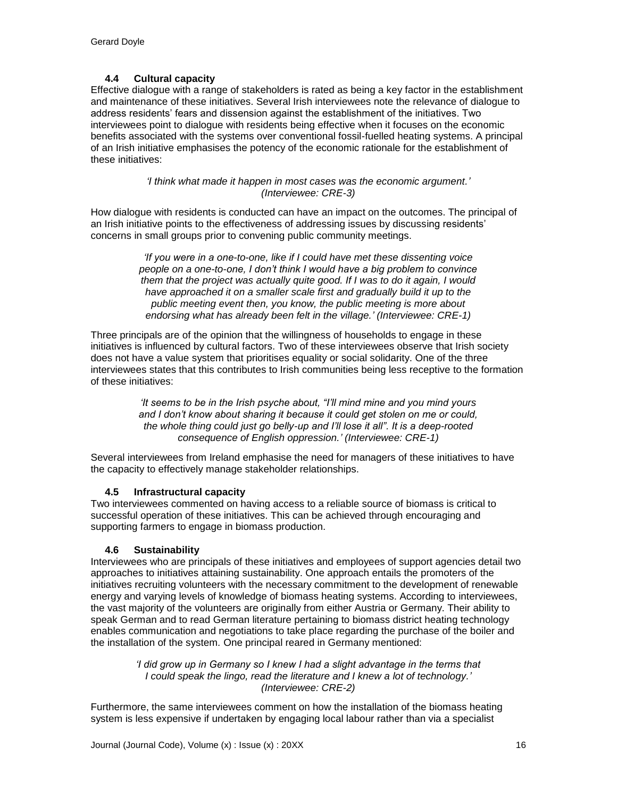## **4.4 Cultural capacity**

Effective dialogue with a range of stakeholders is rated as being a key factor in the establishment and maintenance of these initiatives. Several Irish interviewees note the relevance of dialogue to address residents' fears and dissension against the establishment of the initiatives. Two interviewees point to dialogue with residents being effective when it focuses on the economic benefits associated with the systems over conventional fossil-fuelled heating systems. A principal of an Irish initiative emphasises the potency of the economic rationale for the establishment of these initiatives:

> *'I think what made it happen in most cases was the economic argument.' (Interviewee: CRE-3)*

How dialogue with residents is conducted can have an impact on the outcomes. The principal of an Irish initiative points to the effectiveness of addressing issues by discussing residents' concerns in small groups prior to convening public community meetings.

> *'If you were in a one-to-one, like if I could have met these dissenting voice people on a one-to-one, I don't think I would have a big problem to convince them that the project was actually quite good. If I was to do it again, I would have approached it on a smaller scale first and gradually build it up to the public meeting event then, you know, the public meeting is more about endorsing what has already been felt in the village.' (Interviewee: CRE-1)*

Three principals are of the opinion that the willingness of households to engage in these initiatives is influenced by cultural factors. Two of these interviewees observe that Irish society does not have a value system that prioritises equality or social solidarity. One of the three interviewees states that this contributes to Irish communities being less receptive to the formation of these initiatives:

> *'It seems to be in the Irish psyche about, "I'll mind mine and you mind yours and I don't know about sharing it because it could get stolen on me or could, the whole thing could just go belly-up and I'll lose it all". It is a deep-rooted consequence of English oppression.' (Interviewee: CRE-1)*

Several interviewees from Ireland emphasise the need for managers of these initiatives to have the capacity to effectively manage stakeholder relationships.

### **4.5 Infrastructural capacity**

Two interviewees commented on having access to a reliable source of biomass is critical to successful operation of these initiatives. This can be achieved through encouraging and supporting farmers to engage in biomass production.

### **4.6 Sustainability**

Interviewees who are principals of these initiatives and employees of support agencies detail two approaches to initiatives attaining sustainability. One approach entails the promoters of the initiatives recruiting volunteers with the necessary commitment to the development of renewable energy and varying levels of knowledge of biomass heating systems. According to interviewees, the vast majority of the volunteers are originally from either Austria or Germany. Their ability to speak German and to read German literature pertaining to biomass district heating technology enables communication and negotiations to take place regarding the purchase of the boiler and the installation of the system*.* One principal reared in Germany mentioned:

> *'I did grow up in Germany so I knew I had a slight advantage in the terms that I could speak the lingo, read the literature and I knew a lot of technology.' (Interviewee: CRE-2)*

Furthermore, the same interviewees comment on how the installation of the biomass heating system is less expensive if undertaken by engaging local labour rather than via a specialist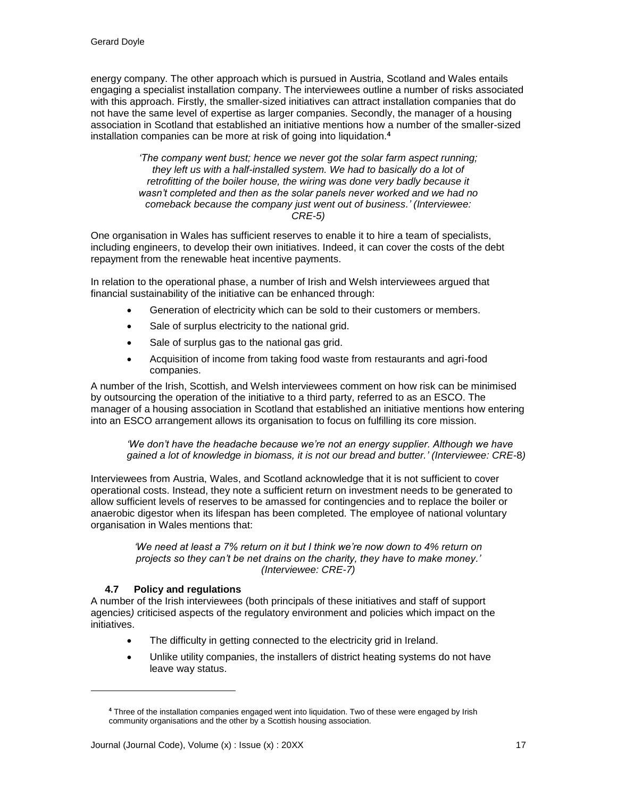energy company. The other approach which is pursued in Austria, Scotland and Wales entails engaging a specialist installation company. The interviewees outline a number of risks associated with this approach. Firstly, the smaller-sized initiatives can attract installation companies that do not have the same level of expertise as larger companies. Secondly, the manager of a housing association in Scotland that established an initiative mentions how a number of the smaller-sized installation companies can be more at risk of going into liquidation.**<sup>4</sup>**

> *'The company went bust; hence we never got the solar farm aspect running; they left us with a half-installed system. We had to basically do a lot of retrofitting of the boiler house, the wiring was done very badly because it wasn't completed and then as the solar panels never worked and we had no comeback because the company just went out of business.' (Interviewee: CRE-5)*

One organisation in Wales has sufficient reserves to enable it to hire a team of specialists, including engineers, to develop their own initiatives. Indeed, it can cover the costs of the debt repayment from the renewable heat incentive payments.

In relation to the operational phase, a number of Irish and Welsh interviewees argued that financial sustainability of the initiative can be enhanced through:

- Generation of electricity which can be sold to their customers or members.
- Sale of surplus electricity to the national grid.
- Sale of surplus gas to the national gas grid.
- Acquisition of income from taking food waste from restaurants and agri-food companies.

A number of the Irish, Scottish, and Welsh interviewees comment on how risk can be minimised by outsourcing the operation of the initiative to a third party, referred to as an ESCO. The manager of a housing association in Scotland that established an initiative mentions how entering into an ESCO arrangement allows its organisation to focus on fulfilling its core mission.

*'We don't have the headache because we're not an energy supplier. Although we have gained a lot of knowledge in biomass, it is not our bread and butter.' (Interviewee: CRE-*8*)*

Interviewees from Austria, Wales, and Scotland acknowledge that it is not sufficient to cover operational costs. Instead, they note a sufficient return on investment needs to be generated to allow sufficient levels of reserves to be amassed for contingencies and to replace the boiler or anaerobic digestor when its lifespan has been completed*.* The employee of national voluntary organisation in Wales mentions that:

> *'We need at least a 7% return on it but I think we're now down to 4% return on projects so they can't be net drains on the charity, they have to make money.' (Interviewee: CRE-7)*

### **4.7 Policy and regulations**

l

A number of the Irish interviewees (both principals of these initiatives and staff of support agencies*)* criticised aspects of the regulatory environment and policies which impact on the initiatives.

- The difficulty in getting connected to the electricity grid in Ireland.
- Unlike utility companies, the installers of district heating systems do not have leave way status.

**<sup>4</sup>** Three of the installation companies engaged went into liquidation. Two of these were engaged by Irish community organisations and the other by a Scottish housing association.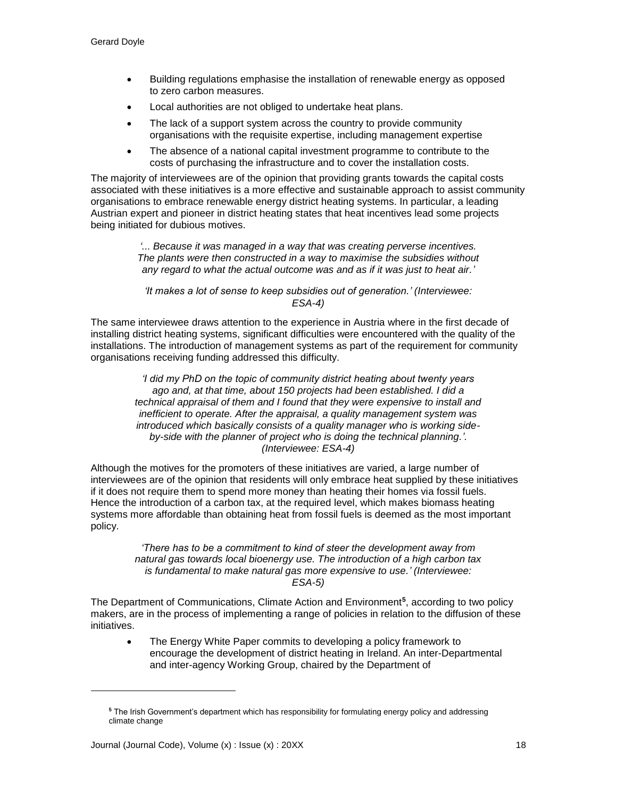- Building regulations emphasise the installation of renewable energy as opposed to zero carbon measures.
- Local authorities are not obliged to undertake heat plans.
- The lack of a support system across the country to provide community organisations with the requisite expertise, including management expertise
- The absence of a national capital investment programme to contribute to the costs of purchasing the infrastructure and to cover the installation costs.

The majority of interviewees are of the opinion that providing grants towards the capital costs associated with these initiatives is a more effective and sustainable approach to assist community organisations to embrace renewable energy district heating systems. In particular, a leading Austrian expert and pioneer in district heating states that heat incentives lead some projects being initiated for dubious motives.

> *'... Because it was managed in a way that was creating perverse incentives. The plants were then constructed in a way to maximise the subsidies without any regard to what the actual outcome was and as if it was just to heat air.'*

*'It makes a lot of sense to keep subsidies out of generation.' (Interviewee: ESA-4)*

The same interviewee draws attention to the experience in Austria where in the first decade of installing district heating systems, significant difficulties were encountered with the quality of the installations. The introduction of management systems as part of the requirement for community organisations receiving funding addressed this difficulty.

> *'I did my PhD on the topic of community district heating about twenty years ago and, at that time, about 150 projects had been established. I did a technical appraisal of them and I found that they were expensive to install and inefficient to operate. After the appraisal, a quality management system was introduced which basically consists of a quality manager who is working sideby-side with the planner of project who is doing the technical planning.'. (Interviewee: ESA-4)*

Although the motives for the promoters of these initiatives are varied, a large number of interviewees are of the opinion that residents will only embrace heat supplied by these initiatives if it does not require them to spend more money than heating their homes via fossil fuels. Hence the introduction of a carbon tax, at the required level, which makes biomass heating systems more affordable than obtaining heat from fossil fuels is deemed as the most important policy.

> *'There has to be a commitment to kind of steer the development away from natural gas towards local bioenergy use. The introduction of a high carbon tax is fundamental to make natural gas more expensive to use.' (Interviewee: ESA-5)*

The Department of Communications, Climate Action and Environment**<sup>5</sup>** , according to two policy makers, are in the process of implementing a range of policies in relation to the diffusion of these initiatives.

The Energy White Paper commits to developing a policy framework to encourage the development of district heating in Ireland. An inter-Departmental and inter-agency Working Group, chaired by the Department of

l

**<sup>5</sup>** The Irish Government's department which has responsibility for formulating energy policy and addressing climate change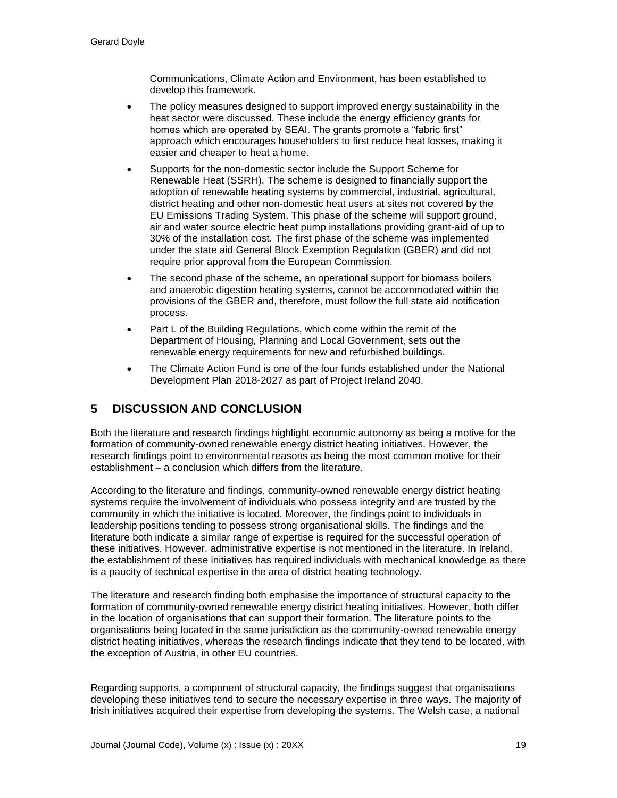Communications, Climate Action and Environment, has been established to develop this framework.

- The policy measures designed to support improved energy sustainability in the heat sector were discussed. These include the energy efficiency grants for homes which are operated by SEAI. The grants promote a "fabric first" approach which encourages householders to first reduce heat losses, making it easier and cheaper to heat a home.
- Supports for the non-domestic sector include the Support Scheme for Renewable Heat (SSRH). The scheme is designed to financially support the adoption of renewable heating systems by commercial, industrial, agricultural, district heating and other non-domestic heat users at sites not covered by the EU Emissions Trading System. This phase of the scheme will support ground, air and water source electric heat pump installations providing grant-aid of up to 30% of the installation cost. The first phase of the scheme was implemented under the state aid General Block Exemption Regulation (GBER) and did not require prior approval from the European Commission.
- The second phase of the scheme, an operational support for biomass boilers and anaerobic digestion heating systems, cannot be accommodated within the provisions of the GBER and, therefore, must follow the full state aid notification process.
- Part L of the Building Regulations, which come within the remit of the Department of Housing, Planning and Local Government, sets out the renewable energy requirements for new and refurbished buildings.
- The Climate Action Fund is one of the four funds established under the National Development Plan 2018-2027 as part of Project Ireland 2040.

# **5 DISCUSSION AND CONCLUSION**

Both the literature and research findings highlight economic autonomy as being a motive for the formation of community-owned renewable energy district heating initiatives. However, the research findings point to environmental reasons as being the most common motive for their establishment – a conclusion which differs from the literature.

According to the literature and findings, community-owned renewable energy district heating systems require the involvement of individuals who possess integrity and are trusted by the community in which the initiative is located. Moreover, the findings point to individuals in leadership positions tending to possess strong organisational skills. The findings and the literature both indicate a similar range of expertise is required for the successful operation of these initiatives. However, administrative expertise is not mentioned in the literature. In Ireland, the establishment of these initiatives has required individuals with mechanical knowledge as there is a paucity of technical expertise in the area of district heating technology.

The literature and research finding both emphasise the importance of structural capacity to the formation of community-owned renewable energy district heating initiatives. However, both differ in the location of organisations that can support their formation. The literature points to the organisations being located in the same jurisdiction as the community-owned renewable energy district heating initiatives, whereas the research findings indicate that they tend to be located, with the exception of Austria, in other EU countries.

Regarding supports, a component of structural capacity, the findings suggest that organisations developing these initiatives tend to secure the necessary expertise in three ways. The majority of Irish initiatives acquired their expertise from developing the systems. The Welsh case, a national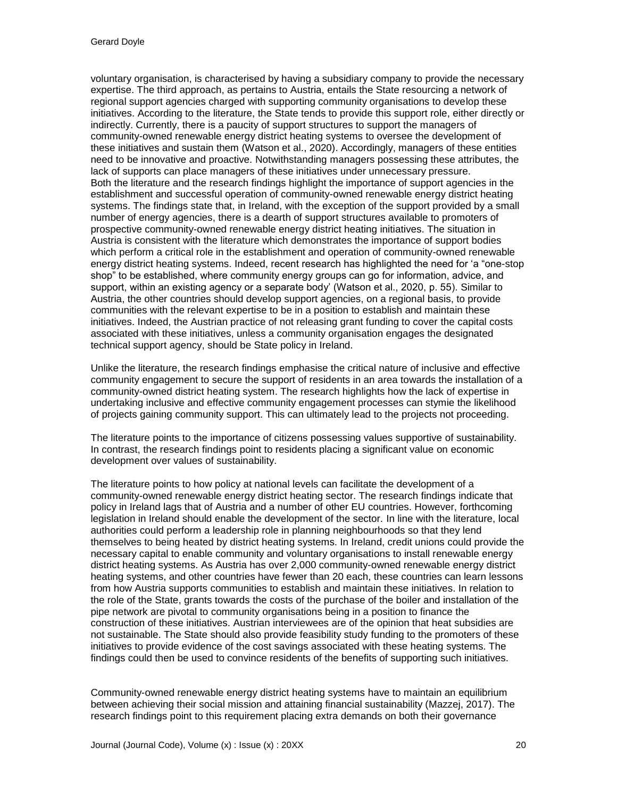voluntary organisation, is characterised by having a subsidiary company to provide the necessary expertise. The third approach, as pertains to Austria, entails the State resourcing a network of regional support agencies charged with supporting community organisations to develop these initiatives. According to the literature, the State tends to provide this support role, either directly or indirectly. Currently, there is a paucity of support structures to support the managers of community-owned renewable energy district heating systems to oversee the development of these initiatives and sustain them (Watson et al., 2020). Accordingly, managers of these entities need to be innovative and proactive. Notwithstanding managers possessing these attributes, the lack of supports can place managers of these initiatives under unnecessary pressure. Both the literature and the research findings highlight the importance of support agencies in the establishment and successful operation of community-owned renewable energy district heating systems. The findings state that, in Ireland, with the exception of the support provided by a small number of energy agencies, there is a dearth of support structures available to promoters of prospective community-owned renewable energy district heating initiatives. The situation in Austria is consistent with the literature which demonstrates the importance of support bodies which perform a critical role in the establishment and operation of community-owned renewable energy district heating systems. Indeed, recent research has highlighted the need for 'a "one-stop shop" to be established, where community energy groups can go for information, advice, and support, within an existing agency or a separate body' (Watson et al., 2020, p. 55). Similar to Austria, the other countries should develop support agencies, on a regional basis, to provide communities with the relevant expertise to be in a position to establish and maintain these initiatives. Indeed, the Austrian practice of not releasing grant funding to cover the capital costs associated with these initiatives, unless a community organisation engages the designated technical support agency, should be State policy in Ireland.

Unlike the literature, the research findings emphasise the critical nature of inclusive and effective community engagement to secure the support of residents in an area towards the installation of a community-owned district heating system. The research highlights how the lack of expertise in undertaking inclusive and effective community engagement processes can stymie the likelihood of projects gaining community support. This can ultimately lead to the projects not proceeding.

The literature points to the importance of citizens possessing values supportive of sustainability. In contrast, the research findings point to residents placing a significant value on economic development over values of sustainability.

The literature points to how policy at national levels can facilitate the development of a community-owned renewable energy district heating sector. The research findings indicate that policy in Ireland lags that of Austria and a number of other EU countries. However, forthcoming legislation in Ireland should enable the development of the sector. In line with the literature, local authorities could perform a leadership role in planning neighbourhoods so that they lend themselves to being heated by district heating systems. In Ireland, credit unions could provide the necessary capital to enable community and voluntary organisations to install renewable energy district heating systems. As Austria has over 2,000 community-owned renewable energy district heating systems, and other countries have fewer than 20 each, these countries can learn lessons from how Austria supports communities to establish and maintain these initiatives. In relation to the role of the State, grants towards the costs of the purchase of the boiler and installation of the pipe network are pivotal to community organisations being in a position to finance the construction of these initiatives. Austrian interviewees are of the opinion that heat subsidies are not sustainable. The State should also provide feasibility study funding to the promoters of these initiatives to provide evidence of the cost savings associated with these heating systems. The findings could then be used to convince residents of the benefits of supporting such initiatives.

Community-owned renewable energy district heating systems have to maintain an equilibrium between achieving their social mission and attaining financial sustainability (Mazzej, 2017). The research findings point to this requirement placing extra demands on both their governance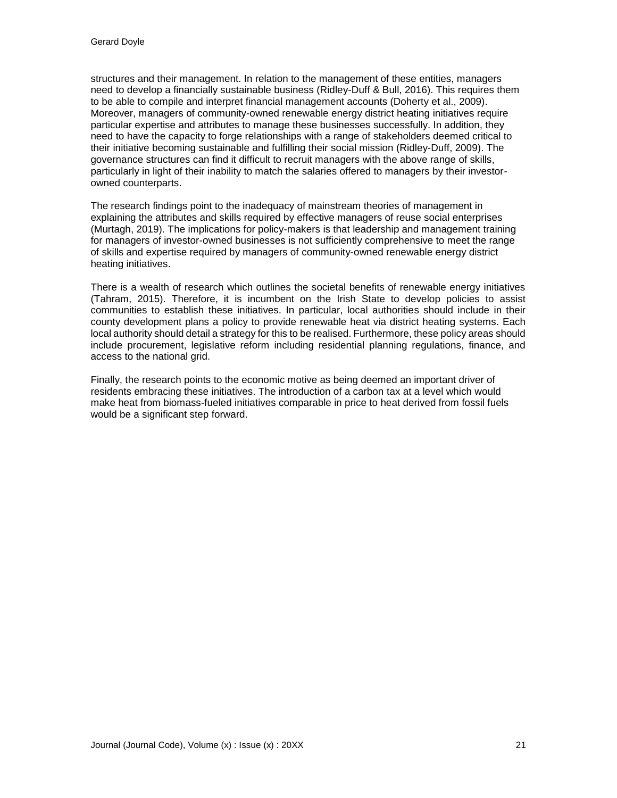structures and their management. In relation to the management of these entities, managers need to develop a financially sustainable business (Ridley-Duff & Bull, 2016). This requires them to be able to compile and interpret financial management accounts (Doherty et al., 2009). Moreover, managers of community-owned renewable energy district heating initiatives require particular expertise and attributes to manage these businesses successfully. In addition, they need to have the capacity to forge relationships with a range of stakeholders deemed critical to their initiative becoming sustainable and fulfilling their social mission (Ridley-Duff, 2009). The governance structures can find it difficult to recruit managers with the above range of skills, particularly in light of their inability to match the salaries offered to managers by their investorowned counterparts.

The research findings point to the inadequacy of mainstream theories of management in explaining the attributes and skills required by effective managers of reuse social enterprises (Murtagh, 2019). The implications for policy-makers is that leadership and management training for managers of investor-owned businesses is not sufficiently comprehensive to meet the range of skills and expertise required by managers of community-owned renewable energy district heating initiatives.

There is a wealth of research which outlines the societal benefits of renewable energy initiatives (Tahram, 2015). Therefore, it is incumbent on the Irish State to develop policies to assist communities to establish these initiatives. In particular, local authorities should include in their county development plans a policy to provide renewable heat via district heating systems. Each local authority should detail a strategy for this to be realised. Furthermore, these policy areas should include procurement, legislative reform including residential planning regulations, finance, and access to the national grid.

Finally, the research points to the economic motive as being deemed an important driver of residents embracing these initiatives. The introduction of a carbon tax at a level which would make heat from biomass-fueled initiatives comparable in price to heat derived from fossil fuels would be a significant step forward.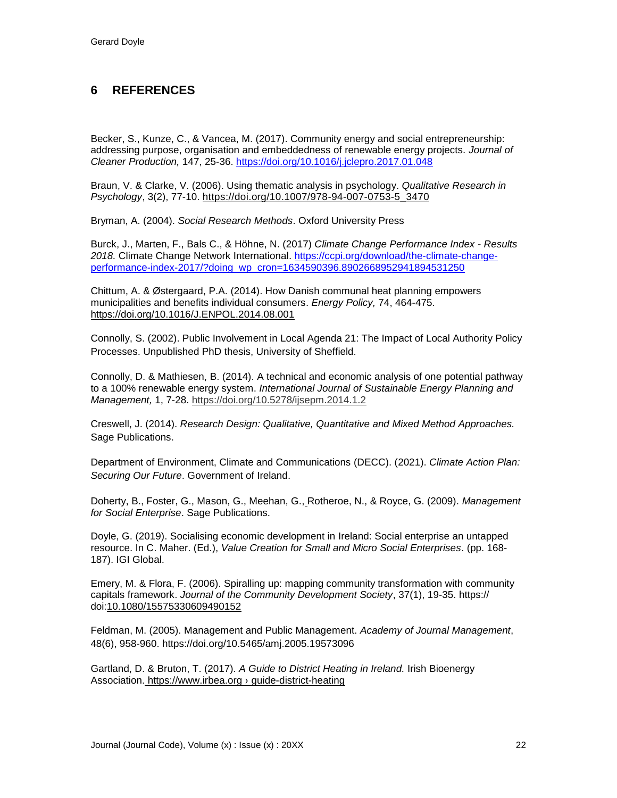# **6 REFERENCES**

Becker, S., Kunze, C., & Vancea, M. (2017). Community energy and social entrepreneurship: addressing purpose, organisation and embeddedness of renewable energy projects. *Journal of Cleaner Production,* 147, 25-36.<https://doi.org/10.1016/j.jclepro.2017.01.048>

Braun, V. & Clarke, V. (2006). Using thematic analysis in psychology. *Qualitative Research in Psychology*, 3(2), 77-10. [https://doi.org/10.1007/978-94-007-0753-5\\_3470](https://doi.org/10.1007/978-94-007-0753-5_3470)

Bryman, A. (2004). *Social Research Methods*. Oxford University Press

Burck, J., Marten, F., Bals C., & Höhne, N. (2017) *Climate Change Performance Index - Results 2018.* Climate Change Network International. [https://ccpi.org/download/the-climate-change](https://ccpi.org/download/the-climate-change-performance-index-2017/?doing_wp_cron=1634590396.8902668952941894531250)[performance-index-2017/?doing\\_wp\\_cron=1634590396.8902668952941894531250](https://ccpi.org/download/the-climate-change-performance-index-2017/?doing_wp_cron=1634590396.8902668952941894531250)

Chittum, A. & Østergaard, P.A. (2014). How Danish communal heat planning empowers municipalities and benefits individual consumers. *Energy Policy,* 74, 464-475. https://doi.org[/10.1016/J.ENPOL.2014.08.001](https://doi.org/10.1016/J.ENPOL.2014.08.001)

Connolly, S. (2002). Public Involvement in Local Agenda 21: The Impact of Local Authority Policy Processes. Unpublished PhD thesis, University of Sheffield[.](https://www.google.ie/url?sa=t&rct=j&q=&esrc=s&source=web&cd=&ved=2ahUKEwjq46O469TzAhXBRkEAHfUrAgQQFnoECAcQAQ&url=https%3A%2F%2Fccpi.org%2Fdownload%2Fthe-climate-change-performance-index-2017%2F&usg=AOvVaw2fS2PxskRd1eyTfis2gp7e)

Connolly, D. & Mathiesen, B. (2014). A technical and economic analysis of one potential pathway to a 100% renewable energy system. *International Journal of Sustainable Energy Planning and Management,* 1, 7-28. https://doi.org/10.5278/ijsepm.2014.1.2

Creswell, J. (2014). *Research Design: Qualitative, Quantitative and Mixed Method Approaches.* Sage Publications.

Department of Environment, Climate and Communications (DECC). (2021). *Climate Action Plan: Securing Our Future*. Government of Ireland.

[Doherty,](javascript:void(0);) B., [Foster,](javascript:void(0);) G., [Mason,](javascript:void(0);) G., [Meehan,](javascript:void(0);) G., [Rotheroe,](javascript:void(0);) N., & Royce, G. (2009). *Management for Social Enterprise*. Sage Publications.

Doyle, G. (2019). Socialising economic development in Ireland: Social enterprise an untapped resource. In C. Maher. (Ed.), *Value Creation for Small and Micro Social Enterprises*. (pp. 168- 187). IGI Global.

Emery, M. & Flora, F. (2006). Spiralling up: mapping community transformation with community capitals framework. *Journal of the Community Development Society*, 37(1), 19-35. https:// doi[:10.1080/15575330609490152](https://doi.org/10.1080/15575330609490152)

Feldman, M. (2005). Management and Public Management. *Academy of Journal Management*, 48(6), 958-960.<https://doi.org/10.5465/amj.2005.19573096>

Gartland, D. & Bruton, T. (2017). *A Guide to District Heating in Ireland.* Irish Bioenergy Association. https://www.irbea.org [› guide-district-heating](https://www.google.ie/url?sa=t&rct=j&q=&esrc=s&source=web&cd=&cad=rja&uact=8&ved=2ahUKEwjz76S46tTzAhWEUcAKHZJpBBwQFnoECAYQAQ&url=https%3A%2F%2Fwww.irbea.org%2Fguide-district-heating%2F&usg=AOvVaw1fKEDEu6lAxJ59T8lxFSao)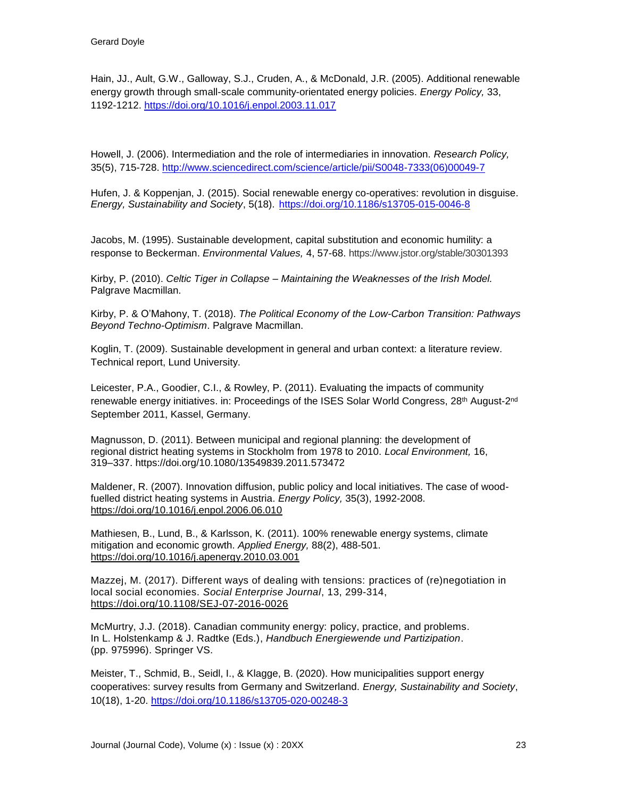Hain, JJ., Ault, G.W., Galloway, S.J., Cruden, A., & McDonald, J.R. (2005). Additional renewable energy growth through small-scale community-orientated energy policies. *Energy Policy,* 33, 1192-1212. <https://doi.org/10.1016/j.enpol.2003.11.017>

Howell, J. (2006). Intermediation and the role of intermediaries in innovation. *Research Policy,* 35(5), 715-728. [http://www.sciencedirect.com/science/article/pii/S0048-7333\(06\)00049-7](https://econpapers.repec.org/scripts/redir.pf?u=http%3A%2F%2Fwww.sciencedirect.com%2Fscience%2Farticle%2Fpii%2FS0048-7333%2806%2900049-7;h=repec:eee:respol:v:35:y:2006:i:5:p:715-728)

Hufen, J. & Koppenjan, J. (2015). Social renewable energy co-operatives: revolution in disguise. *Energy, Sustainability and Society*, 5(18). <https://doi.org/10.1186/s13705-015-0046-8>

Jacobs, M. (1995). Sustainable development, capital substitution and economic humility: a response to Beckerman. *Environmental Values,* 4, 57-68. https://www.jstor.org/stable/30301393

Kirby, P. (2010). *Celtic Tiger in Collapse – Maintaining the Weaknesses of the Irish Model.* Palgrave Macmillan.

Kirby, P. & O'Mahony, T. (2018). *The Political Economy of the Low-Carbon Transition: Pathways Beyond Techno-Optimism*. Palgrave Macmillan.

Koglin, T. (2009). Sustainable development in general and urban context: a literature review. Technical report, Lund University.

Leicester, P.A., Goodier, C.I., & Rowley, P. (2011). Evaluating the impacts of community renewable energy initiatives. in: Proceedings of the ISES Solar World Congress, 28<sup>th</sup> August-2<sup>nd</sup> September 2011, Kassel, Germany.

Magnusson, D. (2011). Between municipal and regional planning: the development of regional district heating systems in Stockholm from 1978 to 2010. *Local Environment,* 16, 319–337. https://doi.org/10.1080/13549839.2011.573472

Maldener, R. (2007). Innovation diffusion, public policy and local initiatives. The case of woodfuelled district heating systems in Austria. *Energy Policy,* 35(3), 1992-2008. <https://doi.org/10.1016/j.enpol.2006.06.010>

Mathiesen, B., Lund, B., & Karlsson, K. (2011). 100% renewable energy systems, climate mitigation and economic growth. *Applied Energy,* 88(2), 488-501. <https://doi.org/10.1016/j.apenergy.2010.03.001>

Mazzej, M. (2017). Different ways of dealing with tensions: practices of (re)negotiation in local social economies. *Social Enterprise Journal*, 13, 299-314, <https://doi.org/10.1108/SEJ-07-2016-0026>

McMurtry, J.J. (2018). Canadian community energy: policy, practice, and problems. In L. Holstenkamp & J. Radtke (Eds.), *Handbuch Energiewende und Partizipation*. (pp. 975996). Springer VS.

Meister, T., Schmid, B., Seidl, I., & Klagge, B. (2020). How municipalities support energy cooperatives: survey results from Germany and Switzerland. *Energy, Sustainability and Society*, 10(18), 1-20.<https://doi.org/10.1186/s13705-020-00248-3>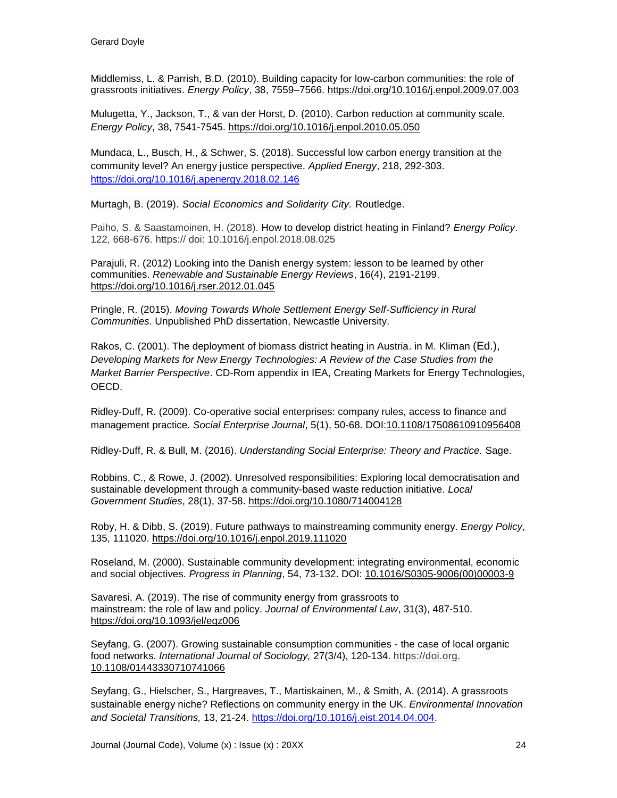Middlemiss, L. & Parrish, B.D. (2010). Building capacity for low-carbon communities: the role of grassroots initiatives. *Energy Policy*, 38, 7559–7566. <https://doi.org/10.1016/j.enpol.2009.07.003>

Mulugetta, Y., Jackson, T., & van der Horst, D. (2010). Carbon reduction at community scale. *Energy Policy*, 38, 7541-7545. <https://doi.org/10.1016/j.enpol.2010.05.050>

Mundaca, L., Busch, H., & Schwer, S. (2018). Successful low carbon energy transition at the community level? An energy justice perspective. *Applied Energy*, 218, 292-303. <https://doi.org/10.1016/j.apenergy.2018.02.146>

Murtagh, B. (2019). *Social Economics and Solidarity City.* Routledge.

Paiho, S. & Saastamoinen, H. (2018). [How to develop district heating in Finland?](https://ideas.repec.org/a/eee/enepol/v122y2018icp668-676.html) *[Energy Policy](https://ideas.repec.org/s/eee/enepol.html)*. 122, 668-676. https:// doi: 10.1016/j.enpol.2018.08.025

Parajuli, R. (2012) Looking into the Danish energy [system: lesson to be learned by other](https://ideas.repec.org/a/eee/rensus/v16y2012i4p2191-2199.html)  [communities.](https://ideas.repec.org/a/eee/rensus/v16y2012i4p2191-2199.html) *[Renewable and Sustainable Energy Reviews](https://ideas.repec.org/s/eee/rensus.html)*, 16(4), 2191-2199. <https://doi.org/10.1016/j.rser.2012.01.045>

Pringle, R. (2015). *Moving Towards Whole Settlement Energy Self-Sufficiency in Rural Communities*. Unpublished PhD dissertation, Newcastle University.

Rakos, C. (2001). The deployment of biomass district heating in Austria. in M. Kliman (Ed.), *Developing Markets for New Energy Technologies: A Review of the Case Studies from the Market Barrier Perspective*. CD-Rom appendix in IEA, Creating Markets for Energy Technologies, OECD.

Ridley-Duff, R. (2009). Co-operative social enterprises: company rules, access to finance and management practice. *Social Enterprise Journal*, 5(1), 50-68. DOI[:10.1108/17508610910956408](https://doi.org/10.1108/17508610910956408)

Ridley-Duff, R. & Bull, M. (2016). *Understanding Social Enterprise: Theory and Practice.* Sage.

Robbins, C., & Rowe, J. (2002). Unresolved responsibilities: Exploring local democratisation and sustainable development through a community-based waste reduction initiative. *Local Government Studies*, 28(1), 37-58. <https://doi.org/10.1080/714004128>

Roby, H. & Dibb, S. (2019). Future pathways to mainstreaming community energy. *Energy Policy*, 135, 111020.<https://doi.org/10.1016/j.enpol.2019.111020>

Roseland, M. (2000). Sustainable community development: integrating environmental, economic and social objectives. *Progress in Planning*, 54, 73-132. DOI: [10.1016/S0305-9006\(00\)00003-9](https://doi.org/10.1016/S0305-9006%2800%2900003-9)

Savaresi, A. (2019). The rise of community energy from grassroots to mainstream: the role of law and policy. *Journal of Environmental Law*, 31(3), 487-510. <https://doi.org/10.1093/jel/eqz006>

Seyfang, G. (2007). Growing sustainable consumption communities - the case of local organic food networks. *International Journal of Sociology,* 27(3/4), 120-134. https://doi.org. [10.1108/01443330710741066](https://doi.org/10.1108/01443330710741066)

Seyfang, G., Hielscher, S., Hargreaves, T., Martiskainen, M., & Smith, A. (2014). A grassroots sustainable energy niche? Reflections on community energy in the UK. *Environmental Innovation and Societal Transitions,* 13, 21-24. [https://doi.org/10.1016/j.eist.2014.04.004.](https://doi.org/10.1016/j.eist.2014.04.004)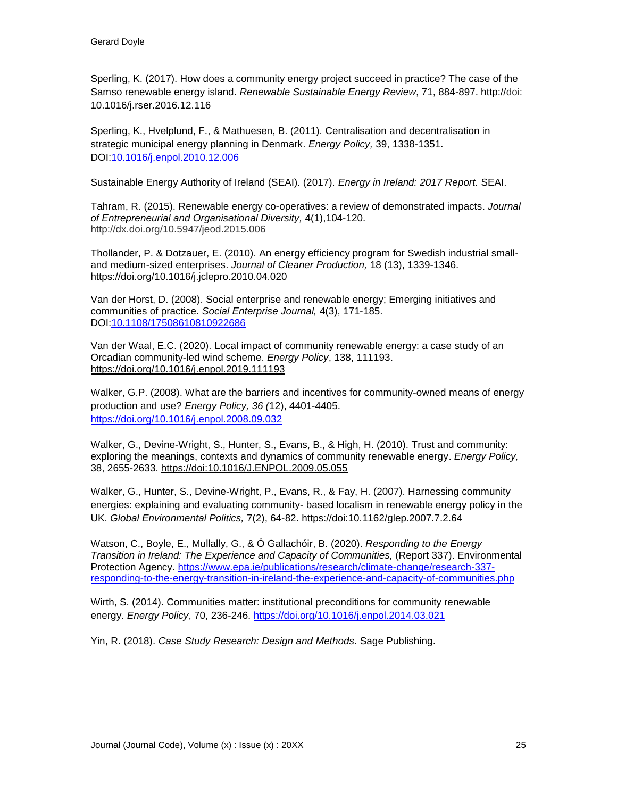Sperling, K. (2017). How does a community energy project succeed in practice? The case of the Samso renewable energy island. *Renewable Sustainable Energy Review*, 71, 884-897. http://doi: 10.1016/j.rser.2016.12.116

Sperling, K., Hvelplund, F., & Mathuesen, B. (2011). Centralisation and decentralisation in strategic municipal energy planning in Denmark. *Energy Policy,* 39, 1338-1351. DOI[:10.1016/j.enpol.2010.12.006](http://dx.doi.org/10.1016/j.enpol.2010.12.006)

Sustainable Energy Authority of Ireland (SEAI). (2017). *Energy in Ireland: 2017 Report.* SEAI.

Tahram, R. (2015). Renewable energy co-operatives: a review of demonstrated impacts. *Journal of Entrepreneurial and Organisational Diversity,* 4(1),104-120. http://dx.doi.org/10.5947/jeod.2015.006

Thollander, P. & Dotzauer, E. (2010). An energy efficiency program for Swedish industrial smalland medium-sized enterprises. *Journal of Cleaner Production,* 18 (13), 1339-1346. <https://doi.org/10.1016/j.jclepro.2010.04.020>

Van der Horst, D. (2008). Social enterprise and renewable energy; Emerging initiatives and communities of practice. *Social Enterprise Journal,* 4(3), 171-185. DOI[:10.1108/17508610810922686](http://dx.doi.org/10.1108/17508610810922686)

Van der Waal, E.C. (2020). Local impact of community renewable energy: a case study of an Orcadian community-led wind scheme. *Energy Policy*, 138, 111193. <https://doi.org/10.1016/j.enpol.2019.111193>

Walker, G.P. (2008). What are the barriers and incentives for community-owned means of energy production and use? *Energy Policy, 36 (*12), 4401-4405. <https://doi.org/10.1016/j.enpol.2008.09.032>

Walker, G., Devine-Wright, S., Hunter, S., Evans, B., & High, H. (2010). Trust and community: exploring the meanings, contexts and dynamics of community renewable energy. *Energy Policy,* 38, 2655-2633. https://doi[:10.1016/J.ENPOL.2009.05.055](https://doi.org/10.1016/J.ENPOL.2009.05.055)

Walker, G., Hunter, S., Devine-Wright, P., Evans, R., & Fay, H. (2007). Harnessing community energies: explaining and evaluating community- based localism in renewable energy policy in the UK. *Global Environmental Politics,* 7(2), 64-82. https://doi[:10.1162/glep.2007.7.2.64](https://doi.org/10.1162/glep.2007.7.2.64)

Watson, C., Boyle, E., Mullally, G., & Ó Gallachóir, B. (2020). *Responding to the Energy Transition in Ireland: The Experience and Capacity of Communities,* (Report 337). Environmental Protection Agency. [https://www.epa.ie/publications/research/climate-change/research-337](https://www.epa.ie/publications/research/climate-change/research-337-responding-to-the-energy-transition-in-ireland-the-experience-and-capacity-of-communities.php) [responding-to-the-energy-transition-in-ireland-the-experience-and-capacity-of-communities.php](https://www.epa.ie/publications/research/climate-change/research-337-responding-to-the-energy-transition-in-ireland-the-experience-and-capacity-of-communities.php)

Wirth, S. (2014). Communities matter: institutional preconditions for community renewable energy. *Energy Policy*, 70, 236-246.<https://doi.org/10.1016/j.enpol.2014.03.021>

Yin, R. (2018). *Case Study Research: Design and Methods.* Sage Publishing.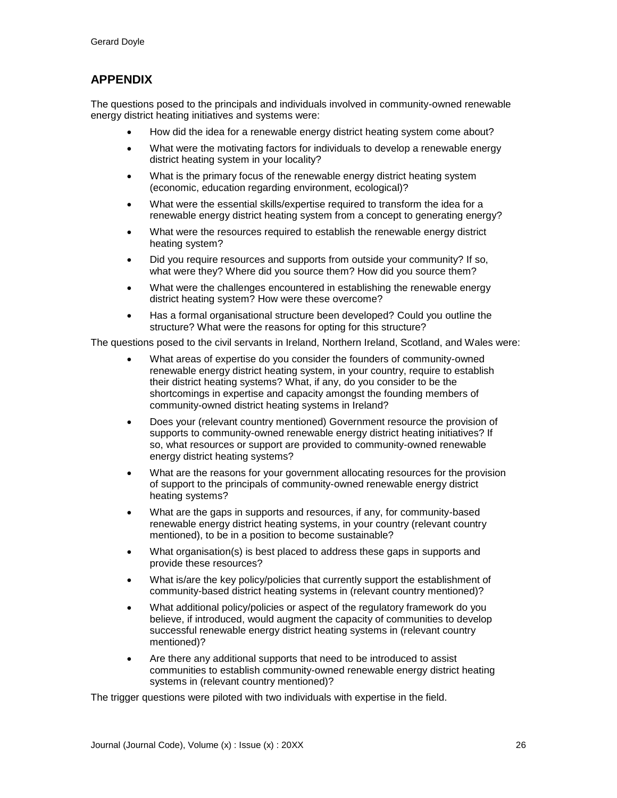# **APPENDIX**

The questions posed to the principals and individuals involved in community-owned renewable energy district heating initiatives and systems were:

- How did the idea for a renewable energy district heating system come about?
- What were the motivating factors for individuals to develop a renewable energy district heating system in your locality?
- What is the primary focus of the renewable energy district heating system (economic, education regarding environment, ecological)?
- What were the essential skills/expertise required to transform the idea for a renewable energy district heating system from a concept to generating energy?
- What were the resources required to establish the renewable energy district heating system?
- Did you require resources and supports from outside your community? If so, what were they? Where did you source them? How did you source them?
- What were the challenges encountered in establishing the renewable energy district heating system? How were these overcome?
- Has a formal organisational structure been developed? Could you outline the structure? What were the reasons for opting for this structure?

The questions posed to the civil servants in Ireland, Northern Ireland, Scotland, and Wales were:

- What areas of expertise do you consider the founders of community-owned renewable energy district heating system, in your country, require to establish their district heating systems? What, if any, do you consider to be the shortcomings in expertise and capacity amongst the founding members of community-owned district heating systems in Ireland?
- Does your (relevant country mentioned) Government resource the provision of supports to community-owned renewable energy district heating initiatives? If so, what resources or support are provided to community-owned renewable energy district heating systems?
- What are the reasons for your government allocating resources for the provision of support to the principals of community-owned renewable energy district heating systems?
- What are the gaps in supports and resources, if any, for community-based renewable energy district heating systems, in your country (relevant country mentioned), to be in a position to become sustainable?
- What organisation(s) is best placed to address these gaps in supports and provide these resources?
- What is/are the key policy/policies that currently support the establishment of community-based district heating systems in (relevant country mentioned)?
- What additional policy/policies or aspect of the regulatory framework do you believe, if introduced, would augment the capacity of communities to develop successful renewable energy district heating systems in (relevant country mentioned)?
- Are there any additional supports that need to be introduced to assist communities to establish community-owned renewable energy district heating systems in (relevant country mentioned)?

The trigger questions were piloted with two individuals with expertise in the field.